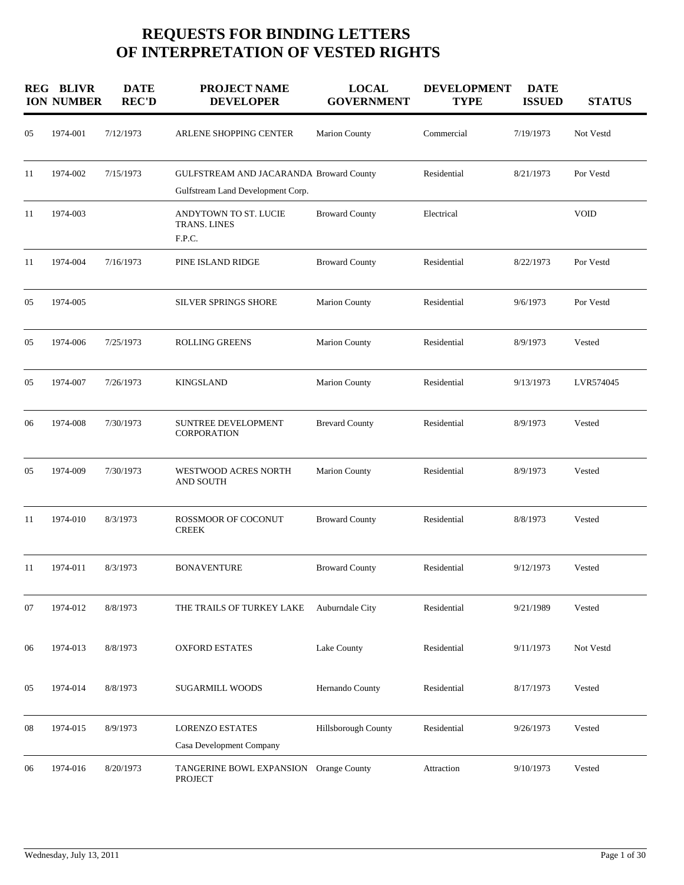## **REQUESTS FOR BINDING LETTERS OF INTERPRETATION OF VESTED RIGHTS**

|    | <b>REG BLIVR</b><br><b>ION NUMBER</b> | <b>DATE</b><br><b>REC'D</b> | <b>PROJECT NAME</b><br><b>DEVELOPER</b>                                      | <b>LOCAL</b><br><b>GOVERNMENT</b> | <b>DEVELOPMENT</b><br><b>TYPE</b> | <b>DATE</b><br><b>ISSUED</b> | <b>STATUS</b> |
|----|---------------------------------------|-----------------------------|------------------------------------------------------------------------------|-----------------------------------|-----------------------------------|------------------------------|---------------|
| 05 | 1974-001                              | 7/12/1973                   | ARLENE SHOPPING CENTER                                                       | Marion County                     | Commercial                        | 7/19/1973                    | Not Vestd     |
| 11 | 1974-002                              | 7/15/1973                   | GULFSTREAM AND JACARANDA Broward County<br>Gulfstream Land Development Corp. |                                   | Residential                       | 8/21/1973                    | Por Vestd     |
| 11 | 1974-003                              |                             | ANDYTOWN TO ST. LUCIE<br>TRANS. LINES<br>F.P.C.                              | <b>Broward County</b>             | Electrical                        |                              | <b>VOID</b>   |
| 11 | 1974-004                              | 7/16/1973                   | PINE ISLAND RIDGE                                                            | <b>Broward County</b>             | Residential                       | 8/22/1973                    | Por Vestd     |
| 05 | 1974-005                              |                             | SILVER SPRINGS SHORE                                                         | <b>Marion County</b>              | Residential                       | 9/6/1973                     | Por Vestd     |
| 05 | 1974-006                              | 7/25/1973                   | <b>ROLLING GREENS</b>                                                        | Marion County                     | Residential                       | 8/9/1973                     | Vested        |
| 05 | 1974-007                              | 7/26/1973                   | <b>KINGSLAND</b>                                                             | <b>Marion County</b>              | Residential                       | 9/13/1973                    | LVR574045     |
| 06 | 1974-008                              | 7/30/1973                   | SUNTREE DEVELOPMENT<br>CORPORATION                                           | <b>Brevard County</b>             | Residential                       | 8/9/1973                     | Vested        |
| 05 | 1974-009                              | 7/30/1973                   | <b>WESTWOOD ACRES NORTH</b><br>AND SOUTH                                     | <b>Marion County</b>              | Residential                       | 8/9/1973                     | Vested        |
| 11 | 1974-010                              | 8/3/1973                    | ROSSMOOR OF COCONUT<br><b>CREEK</b>                                          | <b>Broward County</b>             | Residential                       | 8/8/1973                     | Vested        |
| 11 | 1974-011                              | 8/3/1973                    | <b>BONAVENTURE</b>                                                           | <b>Broward County</b>             | Residential                       | 9/12/1973                    | Vested        |
| 07 | 1974-012                              | 8/8/1973                    | THE TRAILS OF TURKEY LAKE                                                    | Auburndale City                   | Residential                       | 9/21/1989                    | Vested        |
| 06 | 1974-013                              | 8/8/1973                    | <b>OXFORD ESTATES</b>                                                        | Lake County                       | Residential                       | 9/11/1973                    | Not Vestd     |
| 05 | 1974-014                              | 8/8/1973                    | <b>SUGARMILL WOODS</b>                                                       | Hernando County                   | Residential                       | 8/17/1973                    | Vested        |
| 08 | 1974-015                              | 8/9/1973                    | <b>LORENZO ESTATES</b><br>Casa Development Company                           | Hillsborough County               | Residential                       | 9/26/1973                    | Vested        |
| 06 | 1974-016                              | 8/20/1973                   | TANGERINE BOWL EXPANSION<br><b>PROJECT</b>                                   | Orange County                     | Attraction                        | 9/10/1973                    | Vested        |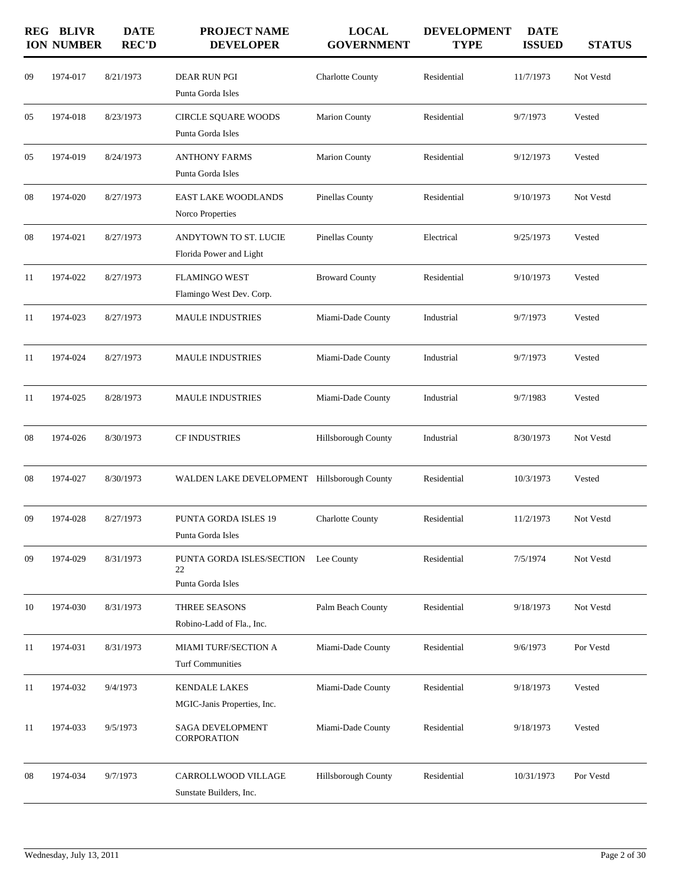|    | <b>REG BLIVR</b><br><b>ION NUMBER</b> | <b>DATE</b><br><b>REC'D</b> | <b>PROJECT NAME</b><br><b>DEVELOPER</b>              | <b>LOCAL</b><br><b>GOVERNMENT</b> | <b>DEVELOPMENT</b><br><b>TYPE</b> | <b>DATE</b><br><b>ISSUED</b> | <b>STATUS</b> |
|----|---------------------------------------|-----------------------------|------------------------------------------------------|-----------------------------------|-----------------------------------|------------------------------|---------------|
| 09 | 1974-017                              | 8/21/1973                   | DEAR RUN PGI<br>Punta Gorda Isles                    | <b>Charlotte County</b>           | Residential                       | 11/7/1973                    | Not Vestd     |
| 05 | 1974-018                              | 8/23/1973                   | CIRCLE SQUARE WOODS<br>Punta Gorda Isles             | <b>Marion County</b>              | Residential                       | 9/7/1973                     | Vested        |
| 05 | 1974-019                              | 8/24/1973                   | <b>ANTHONY FARMS</b><br>Punta Gorda Isles            | <b>Marion County</b>              | Residential                       | 9/12/1973                    | Vested        |
| 08 | 1974-020                              | 8/27/1973                   | EAST LAKE WOODLANDS<br>Norco Properties              | Pinellas County                   | Residential                       | 9/10/1973                    | Not Vestd     |
| 08 | 1974-021                              | 8/27/1973                   | ANDYTOWN TO ST. LUCIE<br>Florida Power and Light     | Pinellas County                   | Electrical                        | 9/25/1973                    | Vested        |
| 11 | 1974-022                              | 8/27/1973                   | <b>FLAMINGO WEST</b><br>Flamingo West Dev. Corp.     | <b>Broward County</b>             | Residential                       | 9/10/1973                    | Vested        |
| 11 | 1974-023                              | 8/27/1973                   | <b>MAULE INDUSTRIES</b>                              | Miami-Dade County                 | Industrial                        | 9/7/1973                     | Vested        |
| 11 | 1974-024                              | 8/27/1973                   | <b>MAULE INDUSTRIES</b>                              | Miami-Dade County                 | Industrial                        | 9/7/1973                     | Vested        |
| 11 | 1974-025                              | 8/28/1973                   | <b>MAULE INDUSTRIES</b>                              | Miami-Dade County                 | Industrial                        | 9/7/1983                     | Vested        |
| 08 | 1974-026                              | 8/30/1973                   | CF INDUSTRIES                                        | Hillsborough County               | Industrial                        | 8/30/1973                    | Not Vestd     |
| 08 | 1974-027                              | 8/30/1973                   | WALDEN LAKE DEVELOPMENT Hillsborough County          |                                   | Residential                       | 10/3/1973                    | Vested        |
| 09 | 1974-028                              | 8/27/1973                   | <b>PUNTA GORDA ISLES 19</b><br>Punta Gorda Isles     | <b>Charlotte County</b>           | Residential                       | 11/2/1973                    | Not Vestd     |
| 09 | 1974-029                              | 8/31/1973                   | PUNTA GORDA ISLES/SECTION<br>22<br>Punta Gorda Isles | Lee County                        | Residential                       | 7/5/1974                     | Not Vestd     |
| 10 | 1974-030                              | 8/31/1973                   | THREE SEASONS<br>Robino-Ladd of Fla., Inc.           | Palm Beach County                 | Residential                       | 9/18/1973                    | Not Vestd     |
| 11 | 1974-031                              | 8/31/1973                   | MIAMI TURF/SECTION A<br><b>Turf Communities</b>      | Miami-Dade County                 | Residential                       | 9/6/1973                     | Por Vestd     |
| 11 | 1974-032                              | 9/4/1973                    | <b>KENDALE LAKES</b><br>MGIC-Janis Properties, Inc.  | Miami-Dade County                 | Residential                       | 9/18/1973                    | Vested        |
| 11 | 1974-033                              | 9/5/1973                    | <b>SAGA DEVELOPMENT</b><br>CORPORATION               | Miami-Dade County                 | Residential                       | 9/18/1973                    | Vested        |
| 08 | 1974-034                              | 9/7/1973                    | CARROLLWOOD VILLAGE<br>Sunstate Builders, Inc.       | Hillsborough County               | Residential                       | 10/31/1973                   | Por Vestd     |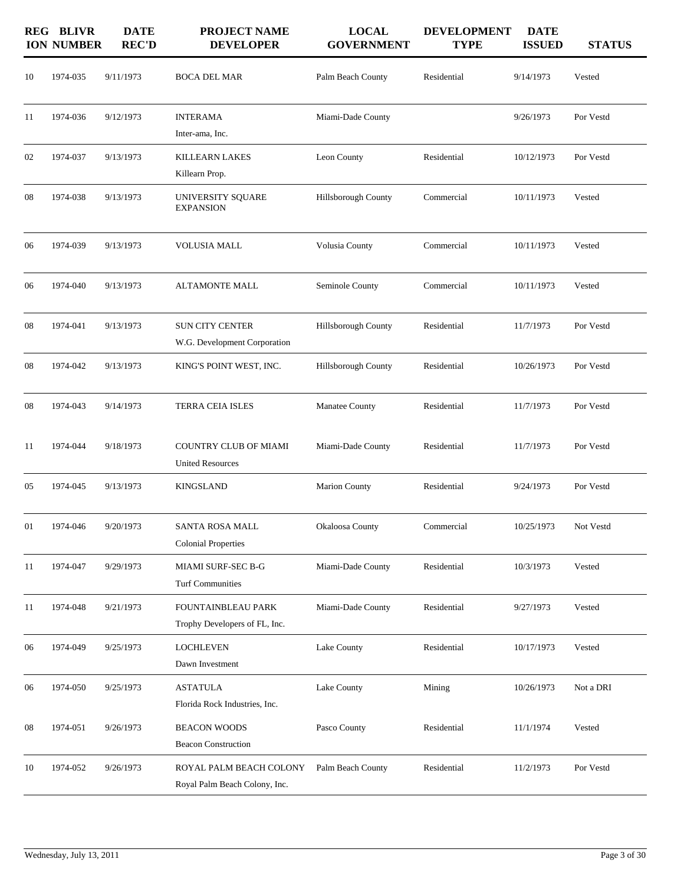|    | <b>REG BLIVR</b><br><b>ION NUMBER</b> | <b>DATE</b><br><b>REC'D</b> | <b>PROJECT NAME</b><br><b>DEVELOPER</b>                  | <b>LOCAL</b><br><b>GOVERNMENT</b> | <b>DEVELOPMENT</b><br><b>TYPE</b> | <b>DATE</b><br><b>ISSUED</b> | <b>STATUS</b> |
|----|---------------------------------------|-----------------------------|----------------------------------------------------------|-----------------------------------|-----------------------------------|------------------------------|---------------|
| 10 | 1974-035                              | 9/11/1973                   | <b>BOCA DEL MAR</b>                                      | Palm Beach County                 | Residential                       | 9/14/1973                    | Vested        |
| 11 | 1974-036                              | 9/12/1973                   | <b>INTERAMA</b><br>Inter-ama, Inc.                       | Miami-Dade County                 |                                   | 9/26/1973                    | Por Vestd     |
| 02 | 1974-037                              | 9/13/1973                   | <b>KILLEARN LAKES</b><br>Killearn Prop.                  | Leon County                       | Residential                       | 10/12/1973                   | Por Vestd     |
| 08 | 1974-038                              | 9/13/1973                   | UNIVERSITY SQUARE<br><b>EXPANSION</b>                    | Hillsborough County               | Commercial                        | 10/11/1973                   | Vested        |
| 06 | 1974-039                              | 9/13/1973                   | <b>VOLUSIA MALL</b>                                      | Volusia County                    | Commercial                        | 10/11/1973                   | Vested        |
| 06 | 1974-040                              | 9/13/1973                   | ALTAMONTE MALL                                           | Seminole County                   | Commercial                        | 10/11/1973                   | Vested        |
| 08 | 1974-041                              | 9/13/1973                   | <b>SUN CITY CENTER</b><br>W.G. Development Corporation   | <b>Hillsborough County</b>        | Residential                       | 11/7/1973                    | Por Vestd     |
| 08 | 1974-042                              | 9/13/1973                   | KING'S POINT WEST, INC.                                  | <b>Hillsborough County</b>        | Residential                       | 10/26/1973                   | Por Vestd     |
| 08 | 1974-043                              | 9/14/1973                   | TERRA CEIA ISLES                                         | Manatee County                    | Residential                       | 11/7/1973                    | Por Vestd     |
| 11 | 1974-044                              | 9/18/1973                   | <b>COUNTRY CLUB OF MIAMI</b><br><b>United Resources</b>  | Miami-Dade County                 | Residential                       | 11/7/1973                    | Por Vestd     |
| 05 | 1974-045                              | 9/13/1973                   | <b>KINGSLAND</b>                                         | Marion County                     | Residential                       | 9/24/1973                    | Por Vestd     |
| 01 | 1974-046                              | 9/20/1973                   | SANTA ROSA MALL<br><b>Colonial Properties</b>            | Okaloosa County                   | Commercial                        | 10/25/1973                   | Not Vestd     |
| 11 | 1974-047                              | 9/29/1973                   | MIAMI SURF-SEC B-G<br><b>Turf Communities</b>            | Miami-Dade County                 | Residential                       | 10/3/1973                    | Vested        |
| 11 | 1974-048                              | 9/21/1973                   | FOUNTAINBLEAU PARK<br>Trophy Developers of FL, Inc.      | Miami-Dade County                 | Residential                       | 9/27/1973                    | Vested        |
| 06 | 1974-049                              | 9/25/1973                   | <b>LOCHLEVEN</b><br>Dawn Investment                      | Lake County                       | Residential                       | 10/17/1973                   | Vested        |
| 06 | 1974-050                              | 9/25/1973                   | <b>ASTATULA</b><br>Florida Rock Industries, Inc.         | Lake County                       | Mining                            | 10/26/1973                   | Not a DRI     |
| 08 | 1974-051                              | 9/26/1973                   | <b>BEACON WOODS</b><br><b>Beacon Construction</b>        | Pasco County                      | Residential                       | 11/1/1974                    | Vested        |
| 10 | 1974-052                              | 9/26/1973                   | ROYAL PALM BEACH COLONY<br>Royal Palm Beach Colony, Inc. | Palm Beach County                 | Residential                       | 11/2/1973                    | Por Vestd     |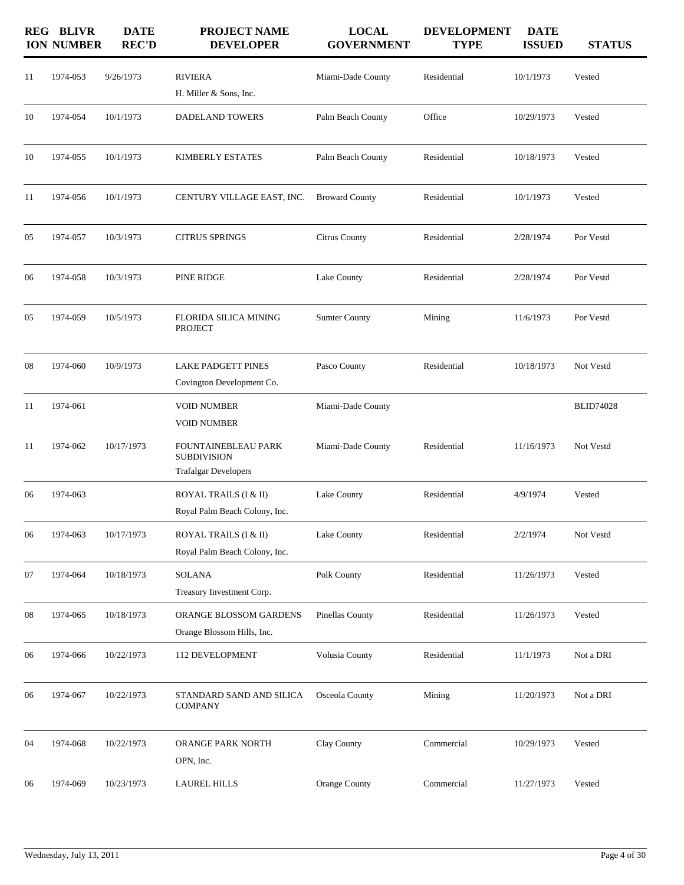|            | <b>REG BLIVR</b><br><b>ION NUMBER</b> | <b>DATE</b><br><b>REC'D</b> | PROJECT NAME<br><b>DEVELOPER</b>                                         | <b>LOCAL</b><br><b>GOVERNMENT</b> | <b>DEVELOPMENT</b><br><b>TYPE</b> | <b>DATE</b><br><b>ISSUED</b> | <b>STATUS</b>    |
|------------|---------------------------------------|-----------------------------|--------------------------------------------------------------------------|-----------------------------------|-----------------------------------|------------------------------|------------------|
| 11         | 1974-053                              | 9/26/1973                   | <b>RIVIERA</b><br>H. Miller & Sons, Inc.                                 | Miami-Dade County                 | Residential                       | 10/1/1973                    | Vested           |
| 10         | 1974-054                              | 10/1/1973                   | DADELAND TOWERS                                                          | Palm Beach County                 | Office                            | 10/29/1973                   | Vested           |
| 10         | 1974-055                              | 10/1/1973                   | <b>KIMBERLY ESTATES</b>                                                  | Palm Beach County                 | Residential                       | 10/18/1973                   | Vested           |
| 11         | 1974-056                              | 10/1/1973                   | CENTURY VILLAGE EAST, INC.                                               | <b>Broward County</b>             | Residential                       | 10/1/1973                    | Vested           |
| 05         | 1974-057                              | 10/3/1973                   | <b>CITRUS SPRINGS</b>                                                    | Citrus County                     | Residential                       | 2/28/1974                    | Por Vestd        |
| 06         | 1974-058                              | 10/3/1973                   | PINE RIDGE                                                               | Lake County                       | Residential                       | 2/28/1974                    | Por Vestd        |
| 05         | 1974-059                              | 10/5/1973                   | <b>FLORIDA SILICA MINING</b><br><b>PROJECT</b>                           | <b>Sumter County</b>              | Mining                            | 11/6/1973                    | Por Vestd        |
| 08         | 1974-060                              | 10/9/1973                   | <b>LAKE PADGETT PINES</b><br>Covington Development Co.                   | Pasco County                      | Residential                       | 10/18/1973                   | Not Vestd        |
| 11         | 1974-061                              |                             | <b>VOID NUMBER</b><br><b>VOID NUMBER</b>                                 | Miami-Dade County                 |                                   |                              | <b>BLID74028</b> |
| 11         | 1974-062                              | 10/17/1973                  | FOUNTAINEBLEAU PARK<br><b>SUBDIVISION</b><br><b>Trafalgar Developers</b> | Miami-Dade County                 | Residential                       | 11/16/1973                   | Not Vestd        |
| 06         | 1974-063                              |                             | ROYAL TRAILS (I & II)<br>Royal Palm Beach Colony, Inc.                   | Lake County                       | Residential                       | 4/9/1974                     | Vested           |
| 06         | 1974-063                              | 10/17/1973                  | ROYAL TRAILS (I & II)<br>Royal Palm Beach Colony, Inc.                   | Lake County                       | Residential                       | 2/2/1974                     | Not Vestd        |
| 07         | 1974-064                              | 10/18/1973                  | <b>SOLANA</b><br>Treasury Investment Corp.                               | Polk County                       | Residential                       | 11/26/1973                   | Vested           |
| ${\bf 08}$ | 1974-065                              | 10/18/1973                  | ORANGE BLOSSOM GARDENS<br>Orange Blossom Hills, Inc.                     | Pinellas County                   | Residential                       | 11/26/1973                   | Vested           |
| 06         | 1974-066                              | 10/22/1973                  | 112 DEVELOPMENT                                                          | Volusia County                    | Residential                       | 11/1/1973                    | Not a DRI        |
| 06         | 1974-067                              | 10/22/1973                  | STANDARD SAND AND SILICA<br><b>COMPANY</b>                               | Osceola County                    | Mining                            | 11/20/1973                   | Not a DRI        |
| 04         | 1974-068                              | 10/22/1973                  | ORANGE PARK NORTH<br>OPN, Inc.                                           | Clay County                       | Commercial                        | 10/29/1973                   | Vested           |
| 06         | 1974-069                              | 10/23/1973                  | <b>LAUREL HILLS</b>                                                      | Orange County                     | Commercial                        | 11/27/1973                   | Vested           |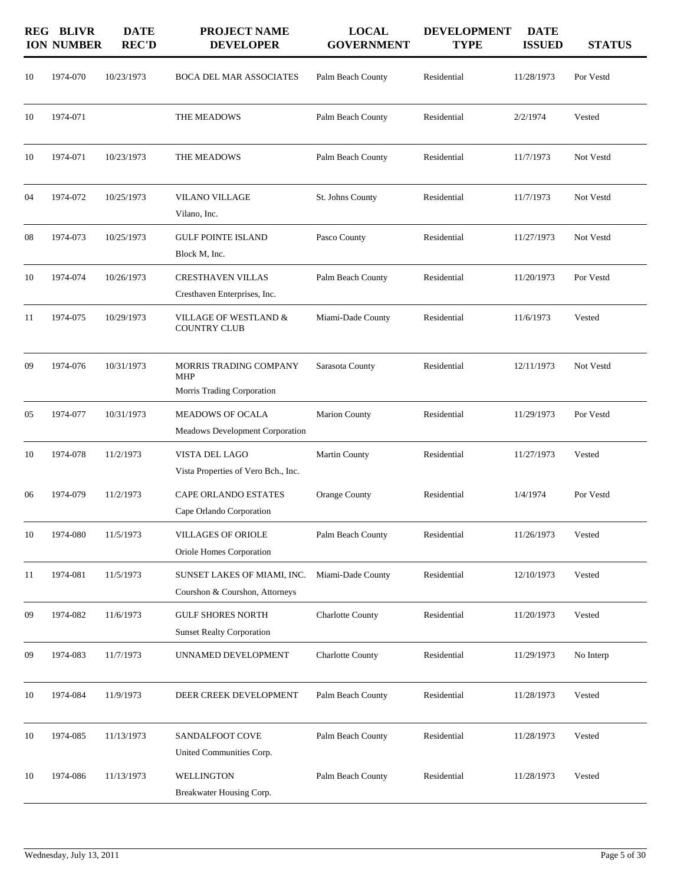|    | <b>REG BLIVR</b><br><b>ION NUMBER</b> | <b>DATE</b><br><b>REC'D</b> | <b>PROJECT NAME</b><br><b>DEVELOPER</b>                       | <b>LOCAL</b><br><b>GOVERNMENT</b> | <b>DEVELOPMENT</b><br><b>TYPE</b> | <b>DATE</b><br><b>ISSUED</b> | <b>STATUS</b> |
|----|---------------------------------------|-----------------------------|---------------------------------------------------------------|-----------------------------------|-----------------------------------|------------------------------|---------------|
| 10 | 1974-070                              | 10/23/1973                  | <b>BOCA DEL MAR ASSOCIATES</b>                                | Palm Beach County                 | Residential                       | 11/28/1973                   | Por Vestd     |
| 10 | 1974-071                              |                             | THE MEADOWS                                                   | Palm Beach County                 | Residential                       | 2/2/1974                     | Vested        |
| 10 | 1974-071                              | 10/23/1973                  | THE MEADOWS                                                   | Palm Beach County                 | Residential                       | 11/7/1973                    | Not Vestd     |
| 04 | 1974-072                              | 10/25/1973                  | <b>VILANO VILLAGE</b><br>Vilano, Inc.                         | St. Johns County                  | Residential                       | 11/7/1973                    | Not Vestd     |
| 08 | 1974-073                              | 10/25/1973                  | <b>GULF POINTE ISLAND</b><br>Block M, Inc.                    | Pasco County                      | Residential                       | 11/27/1973                   | Not Vestd     |
| 10 | 1974-074                              | 10/26/1973                  | <b>CRESTHAVEN VILLAS</b><br>Cresthaven Enterprises, Inc.      | Palm Beach County                 | Residential                       | 11/20/1973                   | Por Vestd     |
| 11 | 1974-075                              | 10/29/1973                  | VILLAGE OF WESTLAND &<br><b>COUNTRY CLUB</b>                  | Miami-Dade County                 | Residential                       | 11/6/1973                    | Vested        |
| 09 | 1974-076                              | 10/31/1973                  | MORRIS TRADING COMPANY<br>MHP<br>Morris Trading Corporation   | Sarasota County                   | Residential                       | 12/11/1973                   | Not Vestd     |
| 05 | 1974-077                              | 10/31/1973                  | <b>MEADOWS OF OCALA</b><br>Meadows Development Corporation    | Marion County                     | Residential                       | 11/29/1973                   | Por Vestd     |
| 10 | 1974-078                              | 11/2/1973                   | VISTA DEL LAGO<br>Vista Properties of Vero Bch., Inc.         | Martin County                     | Residential                       | 11/27/1973                   | Vested        |
| 06 | 1974-079                              | 11/2/1973                   | <b>CAPE ORLANDO ESTATES</b><br>Cape Orlando Corporation       | Orange County                     | Residential                       | 1/4/1974                     | Por Vestd     |
| 10 | 1974-080                              | 11/5/1973                   | <b>VILLAGES OF ORIOLE</b><br>Oriole Homes Corporation         | Palm Beach County                 | Residential                       | 11/26/1973                   | Vested        |
| 11 | 1974-081                              | 11/5/1973                   | SUNSET LAKES OF MIAMI, INC.<br>Courshon & Courshon, Attorneys | Miami-Dade County                 | Residential                       | 12/10/1973                   | Vested        |
| 09 | 1974-082                              | 11/6/1973                   | <b>GULF SHORES NORTH</b><br><b>Sunset Realty Corporation</b>  | <b>Charlotte County</b>           | Residential                       | 11/20/1973                   | Vested        |
| 09 | 1974-083                              | 11/7/1973                   | UNNAMED DEVELOPMENT                                           | <b>Charlotte County</b>           | Residential                       | 11/29/1973                   | No Interp     |
| 10 | 1974-084                              | 11/9/1973                   | DEER CREEK DEVELOPMENT                                        | Palm Beach County                 | Residential                       | 11/28/1973                   | Vested        |
| 10 | 1974-085                              | 11/13/1973                  | SANDALFOOT COVE<br>United Communities Corp.                   | Palm Beach County                 | Residential                       | 11/28/1973                   | Vested        |
| 10 | 1974-086                              | 11/13/1973                  | WELLINGTON<br>Breakwater Housing Corp.                        | Palm Beach County                 | Residential                       | 11/28/1973                   | Vested        |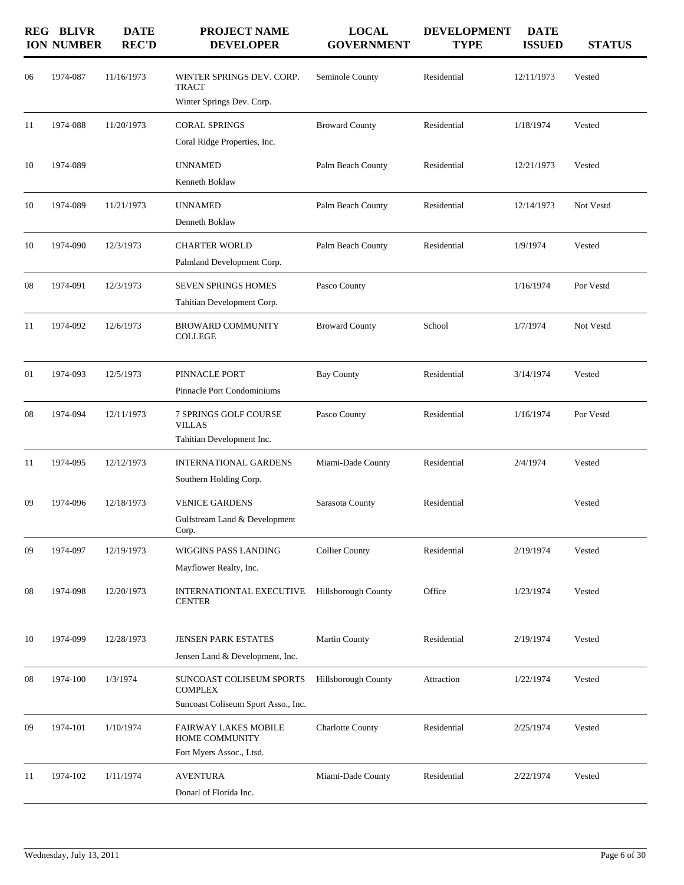| <b>REG BLIVR</b> | <b>DATE</b><br><b>REC'D</b> | <b>PROJECT NAME</b><br><b>DEVELOPER</b>                                | <b>LOCAL</b><br><b>GOVERNMENT</b>                                                               | <b>DEVELOPMENT</b><br><b>TYPE</b> | <b>DATE</b><br><b>ISSUED</b> | <b>STATUS</b> |
|------------------|-----------------------------|------------------------------------------------------------------------|-------------------------------------------------------------------------------------------------|-----------------------------------|------------------------------|---------------|
| 1974-087         | 11/16/1973                  | WINTER SPRINGS DEV. CORP.<br><b>TRACT</b><br>Winter Springs Dev. Corp. | Seminole County                                                                                 | Residential                       | 12/11/1973                   | Vested        |
| 1974-088         | 11/20/1973                  | <b>CORAL SPRINGS</b>                                                   | <b>Broward County</b>                                                                           | Residential                       | 1/18/1974                    | Vested        |
| 1974-089         |                             | <b>UNNAMED</b><br>Kenneth Boklaw                                       | Palm Beach County                                                                               | Residential                       | 12/21/1973                   | Vested        |
| 1974-089         | 11/21/1973                  | <b>UNNAMED</b><br>Denneth Boklaw                                       | Palm Beach County                                                                               | Residential                       | 12/14/1973                   | Not Vestd     |
| 1974-090         | 12/3/1973                   | <b>CHARTER WORLD</b><br>Palmland Development Corp.                     | Palm Beach County                                                                               | Residential                       | 1/9/1974                     | Vested        |
| 1974-091         | 12/3/1973                   | <b>SEVEN SPRINGS HOMES</b><br>Tahitian Development Corp.               | Pasco County                                                                                    |                                   | 1/16/1974                    | Por Vestd     |
| 1974-092         | 12/6/1973                   | <b>BROWARD COMMUNITY</b><br><b>COLLEGE</b>                             | <b>Broward County</b>                                                                           | School                            | 1/7/1974                     | Not Vestd     |
| 1974-093         | 12/5/1973                   | PINNACLE PORT<br>Pinnacle Port Condominiums                            | <b>Bay County</b>                                                                               | Residential                       | 3/14/1974                    | Vested        |
| 1974-094         | 12/11/1973                  | 7 SPRINGS GOLF COURSE<br><b>VILLAS</b><br>Tahitian Development Inc.    | Pasco County                                                                                    | Residential                       | 1/16/1974                    | Por Vestd     |
| 1974-095         | 12/12/1973                  | <b>INTERNATIONAL GARDENS</b><br>Southern Holding Corp.                 | Miami-Dade County                                                                               | Residential                       | 2/4/1974                     | Vested        |
| 1974-096         | 12/18/1973                  | <b>VENICE GARDENS</b><br>Gulfstream Land & Development<br>Corp.        | Sarasota County                                                                                 | Residential                       |                              | Vested        |
| 1974-097         | 12/19/1973                  | WIGGINS PASS LANDING<br>Mayflower Realty, Inc.                         | <b>Collier County</b>                                                                           | Residential                       | 2/19/1974                    | Vested        |
| 1974-098         | 12/20/1973                  | INTERNATIONTAL EXECUTIVE<br><b>CENTER</b>                              | <b>Hillsborough County</b>                                                                      | Office                            | 1/23/1974                    | Vested        |
| 1974-099         | 12/28/1973                  | <b>JENSEN PARK ESTATES</b><br>Jensen Land & Development, Inc.          | <b>Martin County</b>                                                                            | Residential                       | 2/19/1974                    | Vested        |
| 1974-100         | 1/3/1974                    | SUNCOAST COLISEUM SPORTS<br><b>COMPLEX</b>                             | <b>Hillsborough County</b>                                                                      | Attraction                        | 1/22/1974                    | Vested        |
| 1974-101         | 1/10/1974                   | <b>FAIRWAY LAKES MOBILE</b><br>HOME COMMUNITY                          | Charlotte County                                                                                | Residential                       | 2/25/1974                    | Vested        |
| 1974-102         | 1/11/1974                   | <b>AVENTURA</b><br>Donarl of Florida Inc.                              | Miami-Dade County                                                                               | Residential                       | 2/22/1974                    | Vested        |
|                  | <b>ION NUMBER</b>           |                                                                        | Coral Ridge Properties, Inc.<br>Suncoast Coliseum Sport Asso., Inc.<br>Fort Myers Assoc., Ltsd. |                                   |                              |               |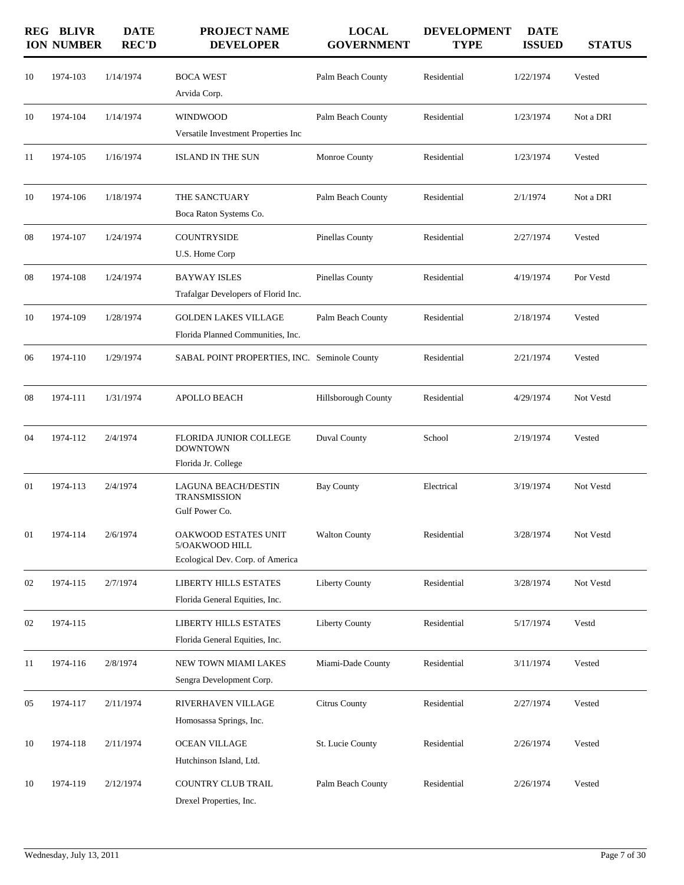|        | <b>REG BLIVR</b><br><b>ION NUMBER</b> | <b>DATE</b><br><b>REC'D</b> | <b>PROJECT NAME</b><br><b>DEVELOPER</b>                                    | <b>LOCAL</b><br><b>GOVERNMENT</b> | <b>DEVELOPMENT</b><br><b>TYPE</b> | <b>DATE</b><br><b>ISSUED</b> | <b>STATUS</b> |
|--------|---------------------------------------|-----------------------------|----------------------------------------------------------------------------|-----------------------------------|-----------------------------------|------------------------------|---------------|
| 10     | 1974-103                              | 1/14/1974                   | <b>BOCA WEST</b><br>Arvida Corp.                                           | Palm Beach County                 | Residential                       | 1/22/1974                    | Vested        |
| 10     | 1974-104                              | 1/14/1974                   | <b>WINDWOOD</b><br>Versatile Investment Properties Inc                     | Palm Beach County                 | Residential                       | 1/23/1974                    | Not a DRI     |
| 11     | 1974-105                              | 1/16/1974                   | <b>ISLAND IN THE SUN</b>                                                   | Monroe County                     | Residential                       | 1/23/1974                    | Vested        |
| 10     | 1974-106                              | 1/18/1974                   | THE SANCTUARY<br>Boca Raton Systems Co.                                    | Palm Beach County                 | Residential                       | 2/1/1974                     | Not a DRI     |
| 08     | 1974-107                              | 1/24/1974                   | <b>COUNTRYSIDE</b><br>U.S. Home Corp                                       | Pinellas County                   | Residential                       | 2/27/1974                    | Vested        |
| 08     | 1974-108                              | 1/24/1974                   | <b>BAYWAY ISLES</b><br>Trafalgar Developers of Florid Inc.                 | Pinellas County                   | Residential                       | 4/19/1974                    | Por Vestd     |
| 10     | 1974-109                              | 1/28/1974                   | <b>GOLDEN LAKES VILLAGE</b><br>Florida Planned Communities, Inc.           | Palm Beach County                 | Residential                       | 2/18/1974                    | Vested        |
| 06     | 1974-110                              | 1/29/1974                   | SABAL POINT PROPERTIES, INC. Seminole County                               |                                   | Residential                       | 2/21/1974                    | Vested        |
| 08     | 1974-111                              | 1/31/1974                   | APOLLO BEACH                                                               | Hillsborough County               | Residential                       | 4/29/1974                    | Not Vestd     |
| 04     | 1974-112                              | 2/4/1974                    | FLORIDA JUNIOR COLLEGE<br><b>DOWNTOWN</b><br>Florida Jr. College           | Duval County                      | School                            | 2/19/1974                    | Vested        |
| 01     | 1974-113                              | 2/4/1974                    | <b>LAGUNA BEACH/DESTIN</b><br>TRANSMISSION<br>Gulf Power Co.               | <b>Bay County</b>                 | Electrical                        | 3/19/1974                    | Not Vestd     |
| $01\,$ | 1974-114                              | 2/6/1974                    | OAKWOOD ESTATES UNIT<br>5/OAKWOOD HILL<br>Ecological Dev. Corp. of America | <b>Walton County</b>              | Residential                       | 3/28/1974                    | Not Vestd     |
| 02     | 1974-115                              | 2/7/1974                    | <b>LIBERTY HILLS ESTATES</b><br>Florida General Equities, Inc.             | <b>Liberty County</b>             | Residential                       | 3/28/1974                    | Not Vestd     |
| 02     | 1974-115                              |                             | LIBERTY HILLS ESTATES<br>Florida General Equities, Inc.                    | <b>Liberty County</b>             | Residential                       | 5/17/1974                    | Vestd         |
| 11     | 1974-116                              | 2/8/1974                    | NEW TOWN MIAMI LAKES<br>Sengra Development Corp.                           | Miami-Dade County                 | Residential                       | 3/11/1974                    | Vested        |
| 05     | 1974-117                              | 2/11/1974                   | RIVERHAVEN VILLAGE<br>Homosassa Springs, Inc.                              | Citrus County                     | Residential                       | 2/27/1974                    | Vested        |
| 10     | 1974-118                              | 2/11/1974                   | <b>OCEAN VILLAGE</b><br>Hutchinson Island, Ltd.                            | St. Lucie County                  | Residential                       | 2/26/1974                    | Vested        |
| 10     | 1974-119                              | 2/12/1974                   | COUNTRY CLUB TRAIL<br>Drexel Properties, Inc.                              | Palm Beach County                 | Residential                       | 2/26/1974                    | Vested        |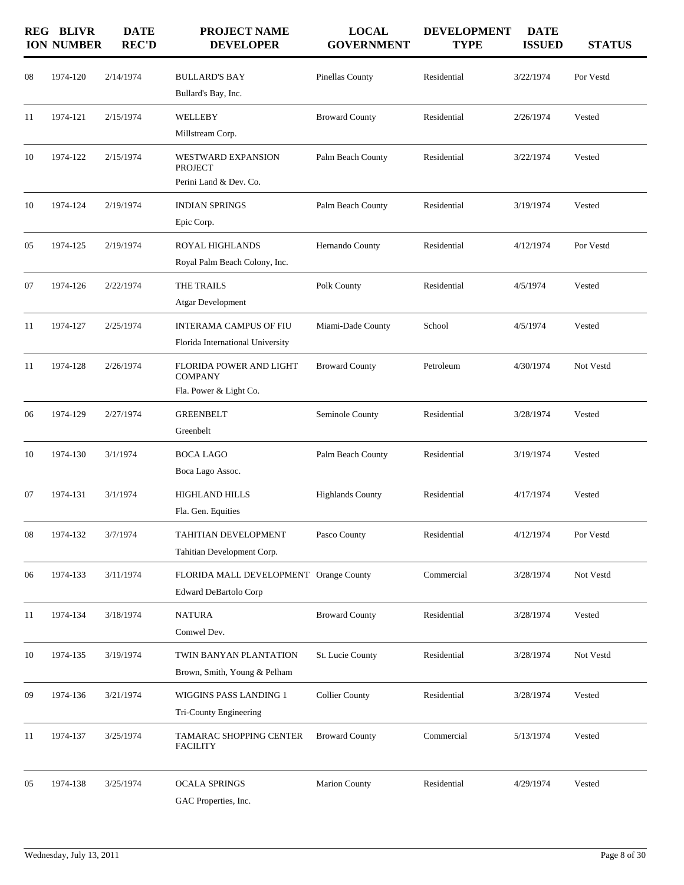|    | <b>REG BLIVR</b><br><b>ION NUMBER</b> | <b>DATE</b><br><b>REC'D</b> | <b>PROJECT NAME</b><br><b>DEVELOPER</b>                             | <b>LOCAL</b><br><b>GOVERNMENT</b> | <b>DEVELOPMENT</b><br><b>TYPE</b> | <b>DATE</b><br><b>ISSUED</b> | <b>STATUS</b> |
|----|---------------------------------------|-----------------------------|---------------------------------------------------------------------|-----------------------------------|-----------------------------------|------------------------------|---------------|
| 08 | 1974-120                              | 2/14/1974                   | <b>BULLARD'S BAY</b><br>Bullard's Bay, Inc.                         | Pinellas County                   | Residential                       | 3/22/1974                    | Por Vestd     |
| 11 | 1974-121                              | 2/15/1974                   | WELLEBY<br>Millstream Corp.                                         | <b>Broward County</b>             | Residential                       | 2/26/1974                    | Vested        |
| 10 | 1974-122                              | 2/15/1974                   | WESTWARD EXPANSION<br><b>PROJECT</b><br>Perini Land & Dev. Co.      | Palm Beach County                 | Residential                       | 3/22/1974                    | Vested        |
| 10 | 1974-124                              | 2/19/1974                   | <b>INDIAN SPRINGS</b><br>Epic Corp.                                 | Palm Beach County                 | Residential                       | 3/19/1974                    | Vested        |
| 05 | 1974-125                              | 2/19/1974                   | ROYAL HIGHLANDS<br>Royal Palm Beach Colony, Inc.                    | Hernando County                   | Residential                       | 4/12/1974                    | Por Vestd     |
| 07 | 1974-126                              | 2/22/1974                   | THE TRAILS<br><b>Atgar Development</b>                              | Polk County                       | Residential                       | 4/5/1974                     | Vested        |
| 11 | 1974-127                              | 2/25/1974                   | <b>INTERAMA CAMPUS OF FIU</b><br>Florida International University   | Miami-Dade County                 | School                            | 4/5/1974                     | Vested        |
| 11 | 1974-128                              | 2/26/1974                   | FLORIDA POWER AND LIGHT<br><b>COMPANY</b><br>Fla. Power & Light Co. | <b>Broward County</b>             | Petroleum                         | 4/30/1974                    | Not Vestd     |
| 06 | 1974-129                              | 2/27/1974                   | <b>GREENBELT</b><br>Greenbelt                                       | Seminole County                   | Residential                       | 3/28/1974                    | Vested        |
| 10 | 1974-130                              | 3/1/1974                    | <b>BOCA LAGO</b><br>Boca Lago Assoc.                                | Palm Beach County                 | Residential                       | 3/19/1974                    | Vested        |
| 07 | 1974-131                              | 3/1/1974                    | <b>HIGHLAND HILLS</b><br>Fla. Gen. Equities                         | <b>Highlands County</b>           | Residential                       | 4/17/1974                    | Vested        |
| 08 | 1974-132                              | 3/7/1974                    | TAHITIAN DEVELOPMENT<br>Tahitian Development Corp.                  | Pasco County                      | Residential                       | 4/12/1974                    | Por Vestd     |
| 06 | 1974-133                              | 3/11/1974                   | FLORIDA MALL DEVELOPMENT Orange County<br>Edward DeBartolo Corp     |                                   | Commercial                        | 3/28/1974                    | Not Vestd     |
| 11 | 1974-134                              | 3/18/1974                   | <b>NATURA</b><br>Comwel Dev.                                        | <b>Broward County</b>             | Residential                       | 3/28/1974                    | Vested        |
| 10 | 1974-135                              | 3/19/1974                   | TWIN BANYAN PLANTATION<br>Brown, Smith, Young & Pelham              | St. Lucie County                  | Residential                       | 3/28/1974                    | Not Vestd     |
| 09 | 1974-136                              | 3/21/1974                   | WIGGINS PASS LANDING 1<br>Tri-County Engineering                    | <b>Collier County</b>             | Residential                       | 3/28/1974                    | Vested        |
| 11 | 1974-137                              | 3/25/1974                   | TAMARAC SHOPPING CENTER<br><b>FACILITY</b>                          | <b>Broward County</b>             | Commercial                        | 5/13/1974                    | Vested        |
| 05 | 1974-138                              | 3/25/1974                   | <b>OCALA SPRINGS</b><br>GAC Properties, Inc.                        | <b>Marion County</b>              | Residential                       | 4/29/1974                    | Vested        |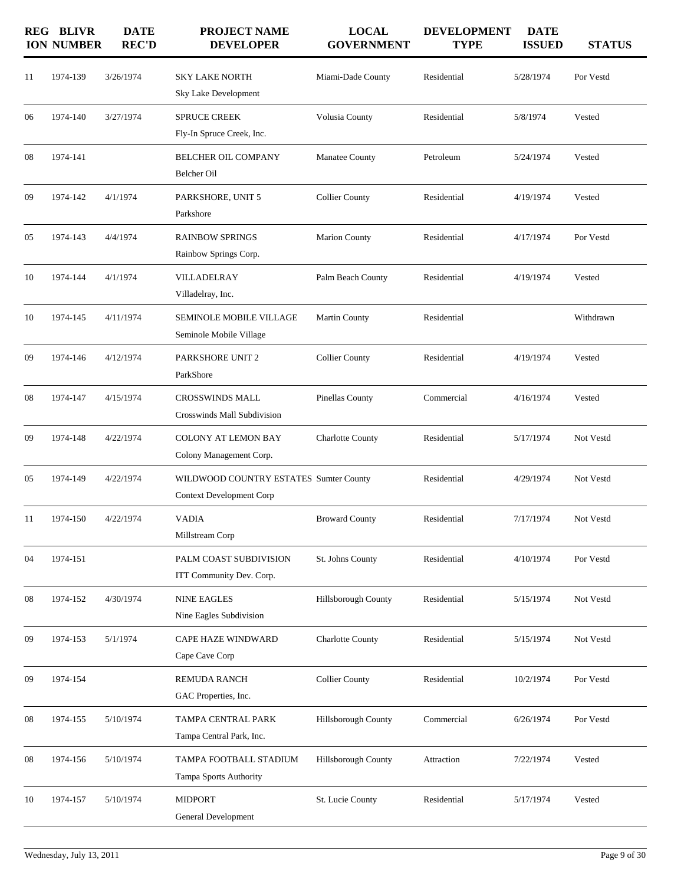|    | <b>REG BLIVR</b><br><b>ION NUMBER</b> | <b>DATE</b><br><b>REC'D</b> | <b>PROJECT NAME</b><br><b>DEVELOPER</b>                                   | <b>LOCAL</b><br><b>GOVERNMENT</b> | <b>DEVELOPMENT</b><br><b>TYPE</b> | <b>DATE</b><br><b>ISSUED</b> | <b>STATUS</b> |
|----|---------------------------------------|-----------------------------|---------------------------------------------------------------------------|-----------------------------------|-----------------------------------|------------------------------|---------------|
| 11 | 1974-139                              | 3/26/1974                   | <b>SKY LAKE NORTH</b><br>Sky Lake Development                             | Miami-Dade County                 | Residential                       | 5/28/1974                    | Por Vestd     |
| 06 | 1974-140                              | 3/27/1974                   | <b>SPRUCE CREEK</b><br>Fly-In Spruce Creek, Inc.                          | Volusia County                    | Residential                       | 5/8/1974                     | Vested        |
| 08 | 1974-141                              |                             | <b>BELCHER OIL COMPANY</b><br>Belcher Oil                                 | Manatee County                    | Petroleum                         | 5/24/1974                    | Vested        |
| 09 | 1974-142                              | 4/1/1974                    | PARKSHORE, UNIT 5<br>Parkshore                                            | <b>Collier County</b>             | Residential                       | 4/19/1974                    | Vested        |
| 05 | 1974-143                              | 4/4/1974                    | <b>RAINBOW SPRINGS</b><br>Rainbow Springs Corp.                           | Marion County                     | Residential                       | 4/17/1974                    | Por Vestd     |
| 10 | 1974-144                              | 4/1/1974                    | <b>VILLADELRAY</b><br>Villadelray, Inc.                                   | Palm Beach County                 | Residential                       | 4/19/1974                    | Vested        |
| 10 | 1974-145                              | 4/11/1974                   | SEMINOLE MOBILE VILLAGE<br>Seminole Mobile Village                        | <b>Martin County</b>              | Residential                       |                              | Withdrawn     |
| 09 | 1974-146                              | 4/12/1974                   | PARKSHORE UNIT 2<br>ParkShore                                             | <b>Collier County</b>             | Residential                       | 4/19/1974                    | Vested        |
| 08 | 1974-147                              | 4/15/1974                   | <b>CROSSWINDS MALL</b><br>Crosswinds Mall Subdivision                     | Pinellas County                   | Commercial                        | 4/16/1974                    | Vested        |
| 09 | 1974-148                              | 4/22/1974                   | <b>COLONY AT LEMON BAY</b><br>Colony Management Corp.                     | <b>Charlotte County</b>           | Residential                       | 5/17/1974                    | Not Vestd     |
| 05 | 1974-149                              | 4/22/1974                   | WILDWOOD COUNTRY ESTATES Sumter County<br><b>Context Development Corp</b> |                                   | Residential                       | 4/29/1974                    | Not Vestd     |
| 11 | 1974-150                              | 4/22/1974                   | <b>VADIA</b><br>Millstream Corp                                           | <b>Broward County</b>             | Residential                       | 7/17/1974                    | Not Vestd     |
| 04 | 1974-151                              |                             | PALM COAST SUBDIVISION<br>ITT Community Dev. Corp.                        | St. Johns County                  | Residential                       | 4/10/1974                    | Por Vestd     |
| 08 | 1974-152                              | 4/30/1974                   | <b>NINE EAGLES</b><br>Nine Eagles Subdivision                             | Hillsborough County               | Residential                       | 5/15/1974                    | Not Vestd     |
| 09 | 1974-153                              | 5/1/1974                    | <b>CAPE HAZE WINDWARD</b><br>Cape Cave Corp                               | Charlotte County                  | Residential                       | 5/15/1974                    | Not Vestd     |
| 09 | 1974-154                              |                             | <b>REMUDA RANCH</b><br>GAC Properties, Inc.                               | <b>Collier County</b>             | Residential                       | 10/2/1974                    | Por Vestd     |
| 08 | 1974-155                              | 5/10/1974                   | TAMPA CENTRAL PARK<br>Tampa Central Park, Inc.                            | Hillsborough County               | Commercial                        | 6/26/1974                    | Por Vestd     |
| 08 | 1974-156                              | 5/10/1974                   | TAMPA FOOTBALL STADIUM<br>Tampa Sports Authority                          | <b>Hillsborough County</b>        | Attraction                        | 7/22/1974                    | Vested        |
| 10 | 1974-157                              | 5/10/1974                   | <b>MIDPORT</b><br>General Development                                     | St. Lucie County                  | Residential                       | 5/17/1974                    | Vested        |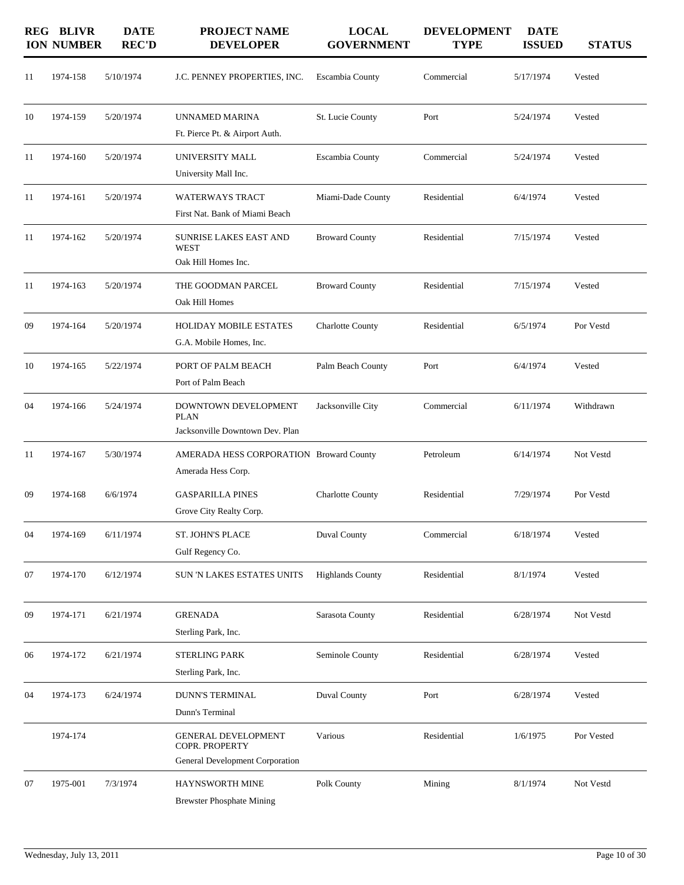|    | <b>REG BLIVR</b><br><b>ION NUMBER</b> | <b>DATE</b><br><b>REC'D</b> | <b>PROJECT NAME</b><br><b>DEVELOPER</b>                                         | <b>LOCAL</b><br><b>GOVERNMENT</b> | <b>DEVELOPMENT</b><br><b>TYPE</b> | <b>DATE</b><br><b>ISSUED</b> | <b>STATUS</b> |
|----|---------------------------------------|-----------------------------|---------------------------------------------------------------------------------|-----------------------------------|-----------------------------------|------------------------------|---------------|
| 11 | 1974-158                              | 5/10/1974                   | J.C. PENNEY PROPERTIES, INC.                                                    | Escambia County                   | Commercial                        | 5/17/1974                    | Vested        |
| 10 | 1974-159                              | 5/20/1974                   | UNNAMED MARINA<br>Ft. Pierce Pt. & Airport Auth.                                | St. Lucie County                  | Port                              | 5/24/1974                    | Vested        |
| 11 | 1974-160                              | 5/20/1974                   | UNIVERSITY MALL<br>University Mall Inc.                                         | Escambia County                   | Commercial                        | 5/24/1974                    | Vested        |
| 11 | 1974-161                              | 5/20/1974                   | <b>WATERWAYS TRACT</b><br>First Nat. Bank of Miami Beach                        | Miami-Dade County                 | Residential                       | 6/4/1974                     | Vested        |
| 11 | 1974-162                              | 5/20/1974                   | SUNRISE LAKES EAST AND<br><b>WEST</b><br>Oak Hill Homes Inc.                    | <b>Broward County</b>             | Residential                       | 7/15/1974                    | Vested        |
| 11 | 1974-163                              | 5/20/1974                   | THE GOODMAN PARCEL<br>Oak Hill Homes                                            | <b>Broward County</b>             | Residential                       | 7/15/1974                    | Vested        |
| 09 | 1974-164                              | 5/20/1974                   | <b>HOLIDAY MOBILE ESTATES</b><br>G.A. Mobile Homes, Inc.                        | <b>Charlotte County</b>           | Residential                       | 6/5/1974                     | Por Vestd     |
| 10 | 1974-165                              | 5/22/1974                   | PORT OF PALM BEACH<br>Port of Palm Beach                                        | Palm Beach County                 | Port                              | 6/4/1974                     | Vested        |
| 04 | 1974-166                              | 5/24/1974                   | DOWNTOWN DEVELOPMENT<br><b>PLAN</b><br>Jacksonville Downtown Dev. Plan          | Jacksonville City                 | Commercial                        | 6/11/1974                    | Withdrawn     |
| 11 | 1974-167                              | 5/30/1974                   | AMERADA HESS CORPORATION Broward County<br>Amerada Hess Corp.                   |                                   | Petroleum                         | 6/14/1974                    | Not Vestd     |
| 09 | 1974-168                              | 6/6/1974                    | <b>GASPARILLA PINES</b><br>Grove City Realty Corp.                              | <b>Charlotte County</b>           | Residential                       | 7/29/1974                    | Por Vestd     |
| 04 | 1974-169                              | 6/11/1974                   | ST. JOHN'S PLACE<br>Gulf Regency Co.                                            | Duval County                      | Commercial                        | 6/18/1974                    | Vested        |
| 07 | 1974-170                              | 6/12/1974                   | SUN 'N LAKES ESTATES UNITS                                                      | <b>Highlands County</b>           | Residential                       | 8/1/1974                     | Vested        |
| 09 | 1974-171                              | 6/21/1974                   | <b>GRENADA</b><br>Sterling Park, Inc.                                           | Sarasota County                   | Residential                       | 6/28/1974                    | Not Vestd     |
| 06 | 1974-172                              | 6/21/1974                   | <b>STERLING PARK</b><br>Sterling Park, Inc.                                     | Seminole County                   | Residential                       | 6/28/1974                    | Vested        |
| 04 | 1974-173                              | 6/24/1974                   | <b>DUNN'S TERMINAL</b><br>Dunn's Terminal                                       | <b>Duval County</b>               | Port                              | 6/28/1974                    | Vested        |
|    | 1974-174                              |                             | <b>GENERAL DEVELOPMENT</b><br>COPR. PROPERTY<br>General Development Corporation | Various                           | Residential                       | 1/6/1975                     | Por Vested    |
| 07 | 1975-001                              | 7/3/1974                    | HAYNSWORTH MINE<br><b>Brewster Phosphate Mining</b>                             | Polk County                       | Mining                            | 8/1/1974                     | Not Vestd     |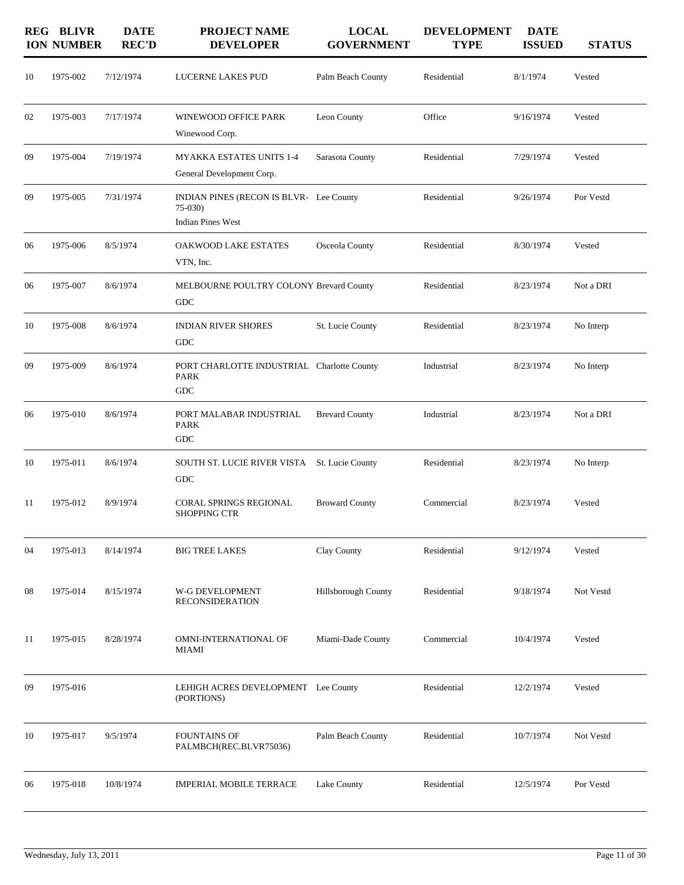|    | <b>REG BLIVR</b><br><b>ION NUMBER</b> | <b>DATE</b><br><b>REC'D</b> | <b>PROJECT NAME</b><br><b>DEVELOPER</b>                                         | <b>LOCAL</b><br><b>GOVERNMENT</b> | <b>DEVELOPMENT</b><br><b>TYPE</b> | <b>DATE</b><br><b>ISSUED</b> | <b>STATUS</b> |
|----|---------------------------------------|-----------------------------|---------------------------------------------------------------------------------|-----------------------------------|-----------------------------------|------------------------------|---------------|
| 10 | 1975-002                              | 7/12/1974                   | LUCERNE LAKES PUD                                                               | Palm Beach County                 | Residential                       | 8/1/1974                     | Vested        |
| 02 | 1975-003                              | 7/17/1974                   | WINEWOOD OFFICE PARK<br>Winewood Corp.                                          | Leon County                       | Office                            | 9/16/1974                    | Vested        |
| 09 | 1975-004                              | 7/19/1974                   | <b>MYAKKA ESTATES UNITS 1-4</b><br>General Development Corp.                    | Sarasota County                   | Residential                       | 7/29/1974                    | Vested        |
| 09 | 1975-005                              | 7/31/1974                   | INDIAN PINES (RECON IS BLVR- Lee County<br>$75-030$<br><b>Indian Pines West</b> |                                   | Residential                       | 9/26/1974                    | Por Vestd     |
| 06 | 1975-006                              | 8/5/1974                    | OAKWOOD LAKE ESTATES<br>VTN, Inc.                                               | Osceola County                    | Residential                       | 8/30/1974                    | Vested        |
| 06 | 1975-007                              | 8/6/1974                    | MELBOURNE POULTRY COLONY Brevard County<br>${\rm GDC}$                          |                                   | Residential                       | 8/23/1974                    | Not a DRI     |
| 10 | 1975-008                              | 8/6/1974                    | <b>INDIAN RIVER SHORES</b><br><b>GDC</b>                                        | St. Lucie County                  | Residential                       | 8/23/1974                    | No Interp     |
| 09 | 1975-009                              | 8/6/1974                    | PORT CHARLOTTE INDUSTRIAL Charlotte County<br><b>PARK</b><br><b>GDC</b>         |                                   | Industrial                        | 8/23/1974                    | No Interp     |
| 06 | 1975-010                              | 8/6/1974                    | PORT MALABAR INDUSTRIAL<br><b>PARK</b><br>${\rm GDC}$                           | <b>Brevard County</b>             | Industrial                        | 8/23/1974                    | Not a DRI     |
| 10 | 1975-011                              | 8/6/1974                    | SOUTH ST. LUCIE RIVER VISTA St. Lucie County<br>GDC                             |                                   | Residential                       | 8/23/1974                    | No Interp     |
| 11 | 1975-012                              | 8/9/1974                    | CORAL SPRINGS REGIONAL<br><b>SHOPPING CTR</b>                                   | <b>Broward County</b>             | Commercial                        | 8/23/1974                    | Vested        |
| 04 | 1975-013                              | 8/14/1974                   | <b>BIG TREE LAKES</b>                                                           | Clay County                       | Residential                       | 9/12/1974                    | Vested        |
| 08 | 1975-014                              | 8/15/1974                   | W-G DEVELOPMENT<br><b>RECONSIDERATION</b>                                       | <b>Hillsborough County</b>        | Residential                       | 9/18/1974                    | Not Vestd     |
| 11 | 1975-015                              | 8/28/1974                   | OMNI-INTERNATIONAL OF<br>MIAMI                                                  | Miami-Dade County                 | Commercial                        | 10/4/1974                    | Vested        |
| 09 | 1975-016                              |                             | LEHIGH ACRES DEVELOPMENT Lee County<br>(PORTIONS)                               |                                   | Residential                       | 12/2/1974                    | Vested        |
| 10 | 1975-017                              | 9/5/1974                    | <b>FOUNTAINS OF</b><br>PALMBCH(REC.BLVR75036)                                   | Palm Beach County                 | Residential                       | 10/7/1974                    | Not Vestd     |
| 06 | 1975-018                              | 10/8/1974                   | <b>IMPERIAL MOBILE TERRACE</b>                                                  | Lake County                       | Residential                       | 12/5/1974                    | Por Vestd     |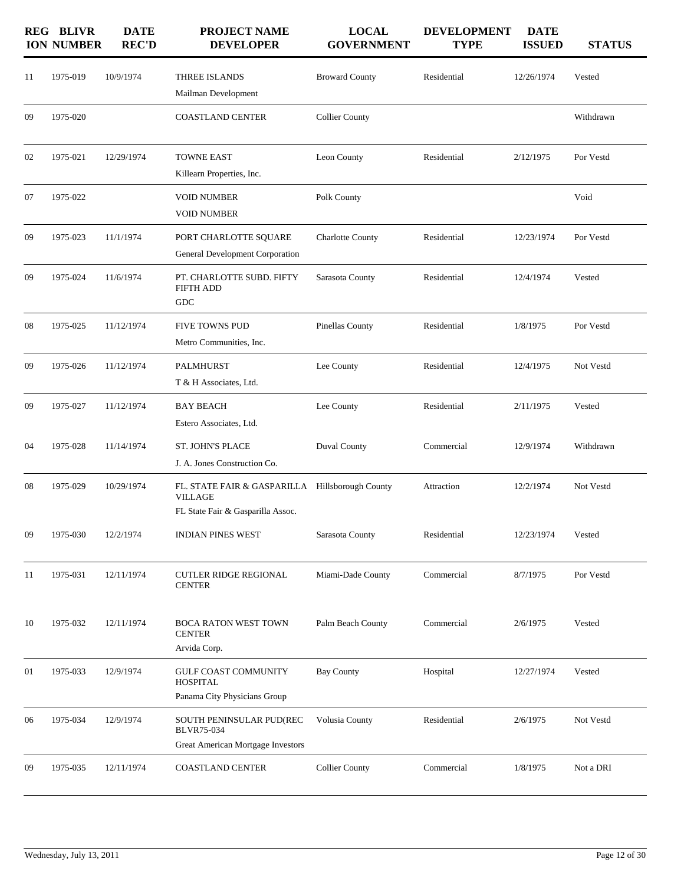|    | <b>REG BLIVR</b><br><b>ION NUMBER</b> | <b>DATE</b><br><b>REC'D</b> | <b>PROJECT NAME</b><br><b>DEVELOPER</b>                                                                | <b>LOCAL</b><br><b>GOVERNMENT</b> | <b>DEVELOPMENT</b><br><b>TYPE</b> | <b>DATE</b><br><b>ISSUED</b> | <b>STATUS</b> |
|----|---------------------------------------|-----------------------------|--------------------------------------------------------------------------------------------------------|-----------------------------------|-----------------------------------|------------------------------|---------------|
| 11 | 1975-019                              | 10/9/1974                   | THREE ISLANDS<br>Mailman Development                                                                   | <b>Broward County</b>             | Residential                       | 12/26/1974                   | Vested        |
| 09 | 1975-020                              |                             | <b>COASTLAND CENTER</b>                                                                                | <b>Collier County</b>             |                                   |                              | Withdrawn     |
| 02 | 1975-021                              | 12/29/1974                  | <b>TOWNE EAST</b><br>Killearn Properties, Inc.                                                         | Leon County                       | Residential                       | 2/12/1975                    | Por Vestd     |
| 07 | 1975-022                              |                             | <b>VOID NUMBER</b><br><b>VOID NUMBER</b>                                                               | Polk County                       |                                   |                              | Void          |
| 09 | 1975-023                              | 11/1/1974                   | PORT CHARLOTTE SQUARE<br>General Development Corporation                                               | <b>Charlotte County</b>           | Residential                       | 12/23/1974                   | Por Vestd     |
| 09 | 1975-024                              | 11/6/1974                   | PT. CHARLOTTE SUBD. FIFTY<br><b>FIFTH ADD</b><br>GDC                                                   | Sarasota County                   | Residential                       | 12/4/1974                    | Vested        |
| 08 | 1975-025                              | 11/12/1974                  | <b>FIVE TOWNS PUD</b><br>Metro Communities, Inc.                                                       | Pinellas County                   | Residential                       | 1/8/1975                     | Por Vestd     |
| 09 | 1975-026                              | 11/12/1974                  | <b>PALMHURST</b><br>T & H Associates, Ltd.                                                             | Lee County                        | Residential                       | 12/4/1975                    | Not Vestd     |
| 09 | 1975-027                              | 11/12/1974                  | <b>BAY BEACH</b><br>Estero Associates, Ltd.                                                            | Lee County                        | Residential                       | 2/11/1975                    | Vested        |
| 04 | 1975-028                              | 11/14/1974                  | <b>ST. JOHN'S PLACE</b><br>J. A. Jones Construction Co.                                                | Duval County                      | Commercial                        | 12/9/1974                    | Withdrawn     |
| 08 | 1975-029                              | 10/29/1974                  | FL. STATE FAIR & GASPARILLA Hillsborough County<br><b>VILLAGE</b><br>FL State Fair & Gasparilla Assoc. |                                   | Attraction                        | 12/2/1974                    | Not Vestd     |
| 09 | 1975-030                              | 12/2/1974                   | <b>INDIAN PINES WEST</b>                                                                               | Sarasota County                   | Residential                       | 12/23/1974                   | Vested        |
| 11 | 1975-031                              | 12/11/1974                  | <b>CUTLER RIDGE REGIONAL</b><br><b>CENTER</b>                                                          | Miami-Dade County                 | Commercial                        | 8/7/1975                     | Por Vestd     |
| 10 | 1975-032                              | 12/11/1974                  | BOCA RATON WEST TOWN<br><b>CENTER</b><br>Arvida Corp.                                                  | Palm Beach County                 | Commercial                        | 2/6/1975                     | Vested        |
| 01 | 1975-033                              | 12/9/1974                   | <b>GULF COAST COMMUNITY</b><br><b>HOSPITAL</b><br>Panama City Physicians Group                         | <b>Bay County</b>                 | Hospital                          | 12/27/1974                   | Vested        |
| 06 | 1975-034                              | 12/9/1974                   | SOUTH PENINSULAR PUD(REC<br><b>BLVR75-034</b><br>Great American Mortgage Investors                     | Volusia County                    | Residential                       | 2/6/1975                     | Not Vestd     |
| 09 | 1975-035                              | 12/11/1974                  | <b>COASTLAND CENTER</b>                                                                                | <b>Collier County</b>             | Commercial                        | 1/8/1975                     | Not a DRI     |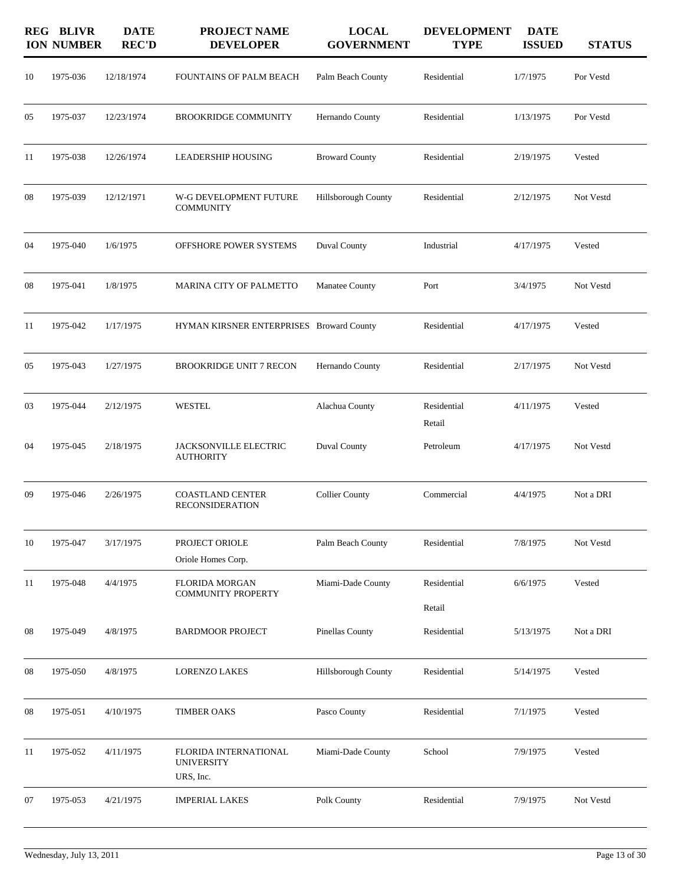|    | <b>REG BLIVR</b><br><b>ION NUMBER</b> | <b>DATE</b><br><b>REC'D</b> | <b>PROJECT NAME</b><br><b>DEVELOPER</b>                 | <b>LOCAL</b><br><b>GOVERNMENT</b> | <b>DEVELOPMENT</b><br><b>TYPE</b> | <b>DATE</b><br><b>ISSUED</b> | <b>STATUS</b> |
|----|---------------------------------------|-----------------------------|---------------------------------------------------------|-----------------------------------|-----------------------------------|------------------------------|---------------|
| 10 | 1975-036                              | 12/18/1974                  | FOUNTAINS OF PALM BEACH                                 | Palm Beach County                 | Residential                       | 1/7/1975                     | Por Vestd     |
| 05 | 1975-037                              | 12/23/1974                  | <b>BROOKRIDGE COMMUNITY</b>                             | Hernando County                   | Residential                       | 1/13/1975                    | Por Vestd     |
| 11 | 1975-038                              | 12/26/1974                  | <b>LEADERSHIP HOUSING</b>                               | <b>Broward County</b>             | Residential                       | 2/19/1975                    | Vested        |
| 08 | 1975-039                              | 12/12/1971                  | W-G DEVELOPMENT FUTURE<br><b>COMMUNITY</b>              | Hillsborough County               | Residential                       | 2/12/1975                    | Not Vestd     |
| 04 | 1975-040                              | 1/6/1975                    | OFFSHORE POWER SYSTEMS                                  | Duval County                      | Industrial                        | 4/17/1975                    | Vested        |
| 08 | 1975-041                              | 1/8/1975                    | MARINA CITY OF PALMETTO                                 | Manatee County                    | Port                              | 3/4/1975                     | Not Vestd     |
| 11 | 1975-042                              | 1/17/1975                   | HYMAN KIRSNER ENTERPRISES Broward County                |                                   | Residential                       | 4/17/1975                    | Vested        |
| 05 | 1975-043                              | 1/27/1975                   | <b>BROOKRIDGE UNIT 7 RECON</b>                          | Hernando County                   | Residential                       | 2/17/1975                    | Not Vestd     |
| 03 | 1975-044                              | 2/12/1975                   | WESTEL                                                  | Alachua County                    | Residential<br>Retail             | 4/11/1975                    | Vested        |
| 04 | 1975-045                              | 2/18/1975                   | JACKSONVILLE ELECTRIC<br><b>AUTHORITY</b>               | Duval County                      | Petroleum                         | 4/17/1975                    | Not Vestd     |
| 09 | 1975-046                              | 2/26/1975                   | <b>COASTLAND CENTER</b><br><b>RECONSIDERATION</b>       | <b>Collier County</b>             | Commercial                        | 4/4/1975                     | Not a DRI     |
| 10 | 1975-047                              | 3/17/1975                   | PROJECT ORIOLE<br>Oriole Homes Corp.                    | Palm Beach County                 | Residential                       | 7/8/1975                     | Not Vestd     |
| 11 | 1975-048                              | 4/4/1975                    | <b>FLORIDA MORGAN</b><br><b>COMMUNITY PROPERTY</b>      | Miami-Dade County                 | Residential<br>Retail             | 6/6/1975                     | Vested        |
| 08 | 1975-049                              | 4/8/1975                    | <b>BARDMOOR PROJECT</b>                                 | <b>Pinellas County</b>            | Residential                       | 5/13/1975                    | Not a DRI     |
| 08 | 1975-050                              | 4/8/1975                    | LORENZO LAKES                                           | Hillsborough County               | Residential                       | 5/14/1975                    | Vested        |
| 08 | 1975-051                              | 4/10/1975                   | <b>TIMBER OAKS</b>                                      | Pasco County                      | Residential                       | 7/1/1975                     | Vested        |
| 11 | 1975-052                              | 4/11/1975                   | FLORIDA INTERNATIONAL<br><b>UNIVERSITY</b><br>URS, Inc. | Miami-Dade County                 | School                            | 7/9/1975                     | Vested        |
| 07 | 1975-053                              | 4/21/1975                   | <b>IMPERIAL LAKES</b>                                   | Polk County                       | Residential                       | 7/9/1975                     | Not Vestd     |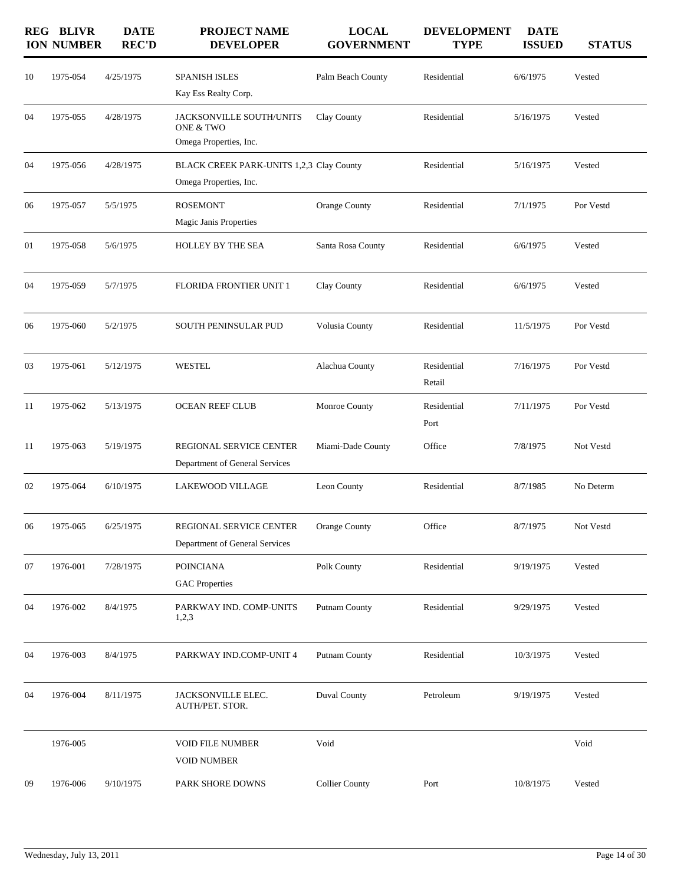|    | <b>REG BLIVR</b><br><b>ION NUMBER</b> | <b>DATE</b><br><b>REC'D</b> | <b>PROJECT NAME</b><br><b>DEVELOPER</b>                            | <b>LOCAL</b><br><b>GOVERNMENT</b> | <b>DEVELOPMENT</b><br><b>TYPE</b> | <b>DATE</b><br><b>ISSUED</b> | <b>STATUS</b> |
|----|---------------------------------------|-----------------------------|--------------------------------------------------------------------|-----------------------------------|-----------------------------------|------------------------------|---------------|
| 10 | 1975-054                              | 4/25/1975                   | SPANISH ISLES<br>Kay Ess Realty Corp.                              | Palm Beach County                 | Residential                       | 6/6/1975                     | Vested        |
| 04 | 1975-055                              | 4/28/1975                   | JACKSONVILLE SOUTH/UNITS<br>ONE & TWO<br>Omega Properties, Inc.    | Clay County                       | Residential                       | 5/16/1975                    | Vested        |
| 04 | 1975-056                              | 4/28/1975                   | BLACK CREEK PARK-UNITS 1,2,3 Clay County<br>Omega Properties, Inc. |                                   | Residential                       | 5/16/1975                    | Vested        |
| 06 | 1975-057                              | 5/5/1975                    | <b>ROSEMONT</b><br>Magic Janis Properties                          | Orange County                     | Residential                       | 7/1/1975                     | Por Vestd     |
| 01 | 1975-058                              | 5/6/1975                    | HOLLEY BY THE SEA                                                  | Santa Rosa County                 | Residential                       | 6/6/1975                     | Vested        |
| 04 | 1975-059                              | 5/7/1975                    | <b>FLORIDA FRONTIER UNIT 1</b>                                     | Clay County                       | Residential                       | 6/6/1975                     | Vested        |
| 06 | 1975-060                              | 5/2/1975                    | SOUTH PENINSULAR PUD                                               | Volusia County                    | Residential                       | 11/5/1975                    | Por Vestd     |
| 03 | 1975-061                              | 5/12/1975                   | <b>WESTEL</b>                                                      | Alachua County                    | Residential<br>Retail             | 7/16/1975                    | Por Vestd     |
| 11 | 1975-062                              | 5/13/1975                   | <b>OCEAN REEF CLUB</b>                                             | Monroe County                     | Residential<br>Port               | 7/11/1975                    | Por Vestd     |
| 11 | 1975-063                              | 5/19/1975                   | REGIONAL SERVICE CENTER<br>Department of General Services          | Miami-Dade County                 | Office                            | 7/8/1975                     | Not Vestd     |
| 02 | 1975-064                              | 6/10/1975                   | LAKEWOOD VILLAGE                                                   | Leon County                       | Residential                       | 8/7/1985                     | No Determ     |
| 06 | 1975-065                              | 6/25/1975                   | REGIONAL SERVICE CENTER<br>Department of General Services          | Orange County                     | Office                            | 8/7/1975                     | Not Vestd     |
| 07 | 1976-001                              | 7/28/1975                   | <b>POINCIANA</b><br><b>GAC</b> Properties                          | Polk County                       | Residential                       | 9/19/1975                    | Vested        |
| 04 | 1976-002                              | 8/4/1975                    | PARKWAY IND. COMP-UNITS<br>1,2,3                                   | Putnam County                     | Residential                       | 9/29/1975                    | Vested        |
| 04 | 1976-003                              | 8/4/1975                    | PARKWAY IND.COMP-UNIT 4                                            | Putnam County                     | Residential                       | 10/3/1975                    | Vested        |
| 04 | 1976-004                              | 8/11/1975                   | JACKSONVILLE ELEC.<br>AUTH/PET. STOR.                              | Duval County                      | Petroleum                         | 9/19/1975                    | Vested        |
|    | 1976-005                              |                             | <b>VOID FILE NUMBER</b><br><b>VOID NUMBER</b>                      | Void                              |                                   |                              | Void          |
| 09 | 1976-006                              | 9/10/1975                   | PARK SHORE DOWNS                                                   | <b>Collier County</b>             | Port                              | 10/8/1975                    | Vested        |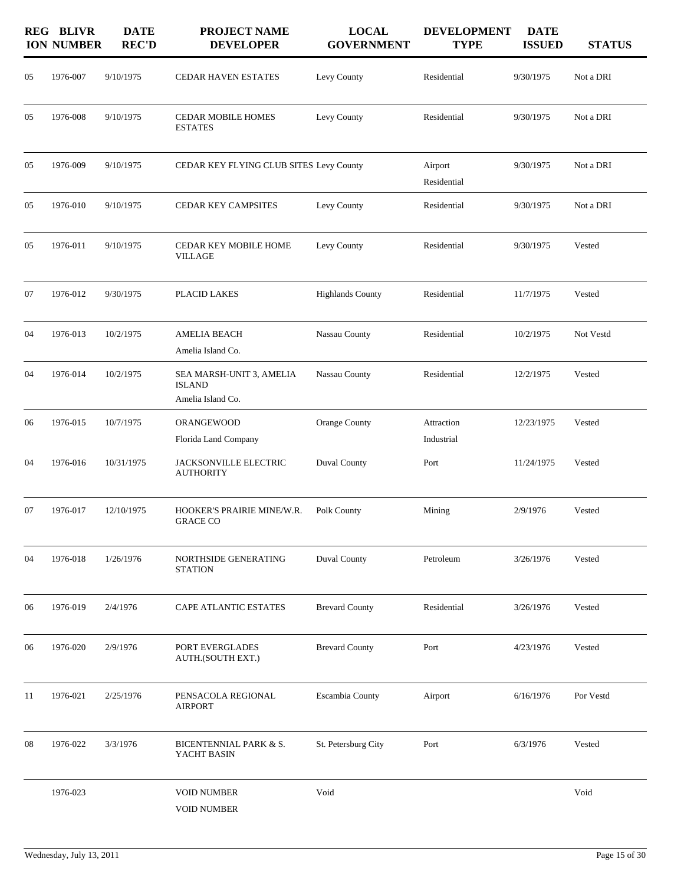|    | <b>REG BLIVR</b><br><b>ION NUMBER</b> | <b>DATE</b><br><b>REC'D</b> | PROJECT NAME<br><b>DEVELOPER</b>                               | <b>LOCAL</b><br><b>GOVERNMENT</b> | <b>DEVELOPMENT</b><br><b>TYPE</b> | <b>DATE</b><br><b>ISSUED</b> | <b>STATUS</b> |
|----|---------------------------------------|-----------------------------|----------------------------------------------------------------|-----------------------------------|-----------------------------------|------------------------------|---------------|
| 05 | 1976-007                              | 9/10/1975                   | CEDAR HAVEN ESTATES                                            | Levy County                       | Residential                       | 9/30/1975                    | Not a DRI     |
| 05 | 1976-008                              | 9/10/1975                   | <b>CEDAR MOBILE HOMES</b><br><b>ESTATES</b>                    | Levy County                       | Residential                       | 9/30/1975                    | Not a DRI     |
| 05 | 1976-009                              | 9/10/1975                   | CEDAR KEY FLYING CLUB SITES Levy County                        |                                   | Airport<br>Residential            | 9/30/1975                    | Not a DRI     |
| 05 | 1976-010                              | 9/10/1975                   | <b>CEDAR KEY CAMPSITES</b>                                     | Levy County                       | Residential                       | 9/30/1975                    | Not a DRI     |
| 05 | 1976-011                              | 9/10/1975                   | CEDAR KEY MOBILE HOME<br><b>VILLAGE</b>                        | Levy County                       | Residential                       | 9/30/1975                    | Vested        |
| 07 | 1976-012                              | 9/30/1975                   | PLACID LAKES                                                   | <b>Highlands County</b>           | Residential                       | 11/7/1975                    | Vested        |
| 04 | 1976-013                              | 10/2/1975                   | <b>AMELIA BEACH</b><br>Amelia Island Co.                       | Nassau County                     | Residential                       | 10/2/1975                    | Not Vestd     |
| 04 | 1976-014                              | 10/2/1975                   | SEA MARSH-UNIT 3, AMELIA<br><b>ISLAND</b><br>Amelia Island Co. | Nassau County                     | Residential                       | 12/2/1975                    | Vested        |
| 06 | 1976-015                              | 10/7/1975                   | ORANGEWOOD<br>Florida Land Company                             | Orange County                     | Attraction<br>Industrial          | 12/23/1975                   | Vested        |
| 04 | 1976-016                              | 10/31/1975                  | JACKSONVILLE ELECTRIC<br><b>AUTHORITY</b>                      | <b>Duval County</b>               | Port                              | 11/24/1975                   | Vested        |
| 07 | 1976-017                              | 12/10/1975                  | HOOKER'S PRAIRIE MINE/W.R.<br><b>GRACE CO</b>                  | Polk County                       | Mining                            | 2/9/1976                     | Vested        |
| 04 | 1976-018                              | 1/26/1976                   | NORTHSIDE GENERATING<br><b>STATION</b>                         | Duval County                      | Petroleum                         | 3/26/1976                    | Vested        |
| 06 | 1976-019                              | 2/4/1976                    | CAPE ATLANTIC ESTATES                                          | <b>Brevard County</b>             | Residential                       | 3/26/1976                    | Vested        |
| 06 | 1976-020                              | 2/9/1976                    | PORT EVERGLADES<br>AUTH.(SOUTH EXT.)                           | <b>Brevard County</b>             | Port                              | 4/23/1976                    | Vested        |
| 11 | 1976-021                              | 2/25/1976                   | PENSACOLA REGIONAL<br><b>AIRPORT</b>                           | Escambia County                   | Airport                           | 6/16/1976                    | Por Vestd     |
| 08 | 1976-022                              | 3/3/1976                    | BICENTENNIAL PARK & S.<br>YACHT BASIN                          | St. Petersburg City               | Port                              | 6/3/1976                     | Vested        |
|    | 1976-023                              |                             | <b>VOID NUMBER</b><br><b>VOID NUMBER</b>                       | Void                              |                                   |                              | Void          |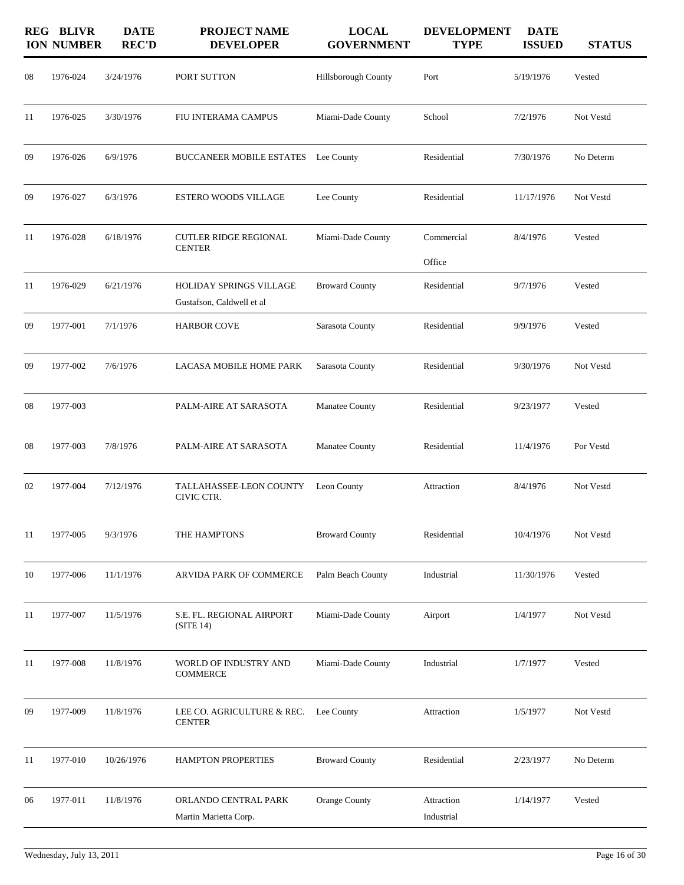|    | <b>REG BLIVR</b><br><b>ION NUMBER</b> | <b>DATE</b><br><b>REC'D</b> | PROJECT NAME<br><b>DEVELOPER</b>                            | <b>LOCAL</b><br><b>GOVERNMENT</b> | <b>DEVELOPMENT</b><br><b>TYPE</b> | <b>DATE</b><br><b>ISSUED</b> | <b>STATUS</b> |
|----|---------------------------------------|-----------------------------|-------------------------------------------------------------|-----------------------------------|-----------------------------------|------------------------------|---------------|
| 08 | 1976-024                              | 3/24/1976                   | PORT SUTTON                                                 | Hillsborough County               | Port                              | 5/19/1976                    | Vested        |
| 11 | 1976-025                              | 3/30/1976                   | FIU INTERAMA CAMPUS                                         | Miami-Dade County                 | School                            | 7/2/1976                     | Not Vestd     |
| 09 | 1976-026                              | 6/9/1976                    | BUCCANEER MOBILE ESTATES Lee County                         |                                   | Residential                       | 7/30/1976                    | No Determ     |
| 09 | 1976-027                              | 6/3/1976                    | <b>ESTERO WOODS VILLAGE</b>                                 | Lee County                        | Residential                       | 11/17/1976                   | Not Vestd     |
| 11 | 1976-028                              | 6/18/1976                   | <b>CUTLER RIDGE REGIONAL</b><br><b>CENTER</b>               | Miami-Dade County                 | Commercial<br>Office              | 8/4/1976                     | Vested        |
| 11 | 1976-029                              | 6/21/1976                   | <b>HOLIDAY SPRINGS VILLAGE</b><br>Gustafson, Caldwell et al | <b>Broward County</b>             | Residential                       | 9/7/1976                     | Vested        |
| 09 | 1977-001                              | 7/1/1976                    | <b>HARBOR COVE</b>                                          | Sarasota County                   | Residential                       | 9/9/1976                     | Vested        |
| 09 | 1977-002                              | 7/6/1976                    | LACASA MOBILE HOME PARK                                     | Sarasota County                   | Residential                       | 9/30/1976                    | Not Vestd     |
| 08 | 1977-003                              |                             | PALM-AIRE AT SARASOTA                                       | Manatee County                    | Residential                       | 9/23/1977                    | Vested        |
| 08 | 1977-003                              | 7/8/1976                    | PALM-AIRE AT SARASOTA                                       | Manatee County                    | Residential                       | 11/4/1976                    | Por Vestd     |
| 02 | 1977-004                              | 7/12/1976                   | TALLAHASSEE-LEON COUNTY<br>CIVIC CTR.                       | Leon County                       | Attraction                        | 8/4/1976                     | Not Vestd     |
| 11 | 1977-005                              | 9/3/1976                    | THE HAMPTONS                                                | <b>Broward County</b>             | Residential                       | 10/4/1976                    | Not Vestd     |
| 10 | 1977-006                              | 11/1/1976                   | ARVIDA PARK OF COMMERCE                                     | Palm Beach County                 | Industrial                        | 11/30/1976                   | Vested        |
| 11 | 1977-007                              | 11/5/1976                   | S.E. FL. REGIONAL AIRPORT<br>(STE14)                        | Miami-Dade County                 | Airport                           | 1/4/1977                     | Not Vestd     |
| 11 | 1977-008                              | 11/8/1976                   | WORLD OF INDUSTRY AND<br><b>COMMERCE</b>                    | Miami-Dade County                 | Industrial                        | 1/7/1977                     | Vested        |
| 09 | 1977-009                              | 11/8/1976                   | LEE CO. AGRICULTURE & REC.<br><b>CENTER</b>                 | Lee County                        | Attraction                        | 1/5/1977                     | Not Vestd     |
| 11 | 1977-010                              | 10/26/1976                  | HAMPTON PROPERTIES                                          | <b>Broward County</b>             | Residential                       | 2/23/1977                    | No Determ     |
| 06 | 1977-011                              | 11/8/1976                   | ORLANDO CENTRAL PARK<br>Martin Marietta Corp.               | Orange County                     | Attraction<br>Industrial          | 1/14/1977                    | Vested        |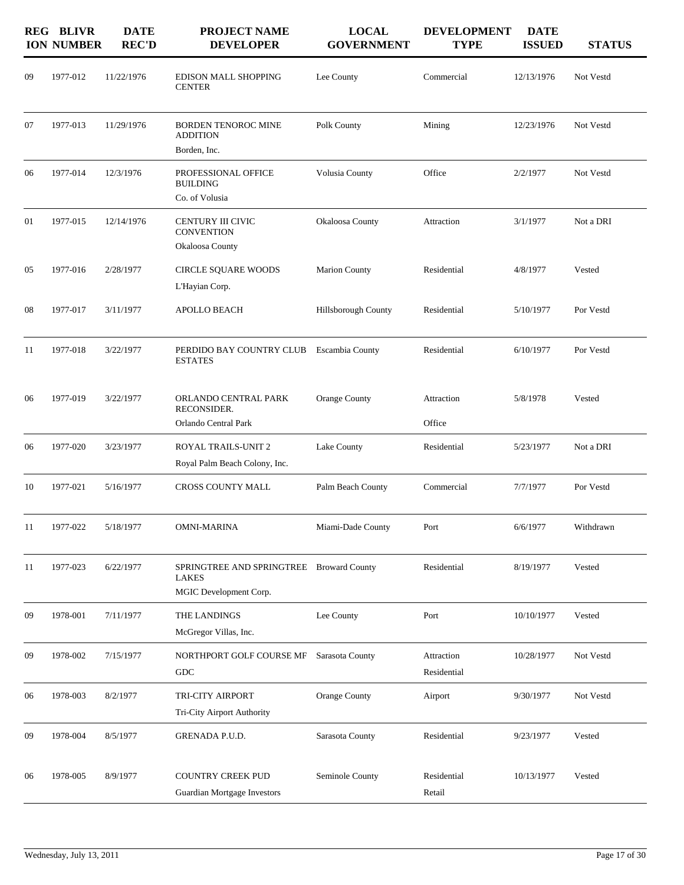|    | <b>REG BLIVR</b><br><b>ION NUMBER</b> | <b>DATE</b><br><b>REC'D</b> | <b>PROJECT NAME</b><br><b>DEVELOPER</b>                                     | <b>LOCAL</b><br><b>GOVERNMENT</b> | <b>DEVELOPMENT</b><br><b>TYPE</b> | <b>DATE</b><br><b>ISSUED</b> | <b>STATUS</b> |
|----|---------------------------------------|-----------------------------|-----------------------------------------------------------------------------|-----------------------------------|-----------------------------------|------------------------------|---------------|
| 09 | 1977-012                              | 11/22/1976                  | EDISON MALL SHOPPING<br><b>CENTER</b>                                       | Lee County                        | Commercial                        | 12/13/1976                   | Not Vestd     |
| 07 | 1977-013                              | 11/29/1976                  | <b>BORDEN TENOROC MINE</b><br><b>ADDITION</b>                               | Polk County                       | Mining                            | 12/23/1976                   | Not Vestd     |
|    |                                       |                             | Borden, Inc.                                                                |                                   |                                   |                              |               |
| 06 | 1977-014                              | 12/3/1976                   | PROFESSIONAL OFFICE<br><b>BUILDING</b>                                      | Volusia County                    | Office                            | 2/2/1977                     | Not Vestd     |
|    |                                       |                             | Co. of Volusia                                                              |                                   |                                   |                              |               |
| 01 | 1977-015                              | 12/14/1976                  | CENTURY III CIVIC<br><b>CONVENTION</b>                                      | Okaloosa County                   | Attraction                        | 3/1/1977                     | Not a DRI     |
|    |                                       |                             | Okaloosa County                                                             |                                   |                                   |                              |               |
| 05 | 1977-016                              | 2/28/1977                   | CIRCLE SQUARE WOODS                                                         | <b>Marion County</b>              | Residential                       | 4/8/1977                     | Vested        |
|    |                                       |                             | L'Hayian Corp.                                                              |                                   |                                   |                              |               |
| 08 | 1977-017                              | 3/11/1977                   | <b>APOLLO BEACH</b>                                                         | Hillsborough County               | Residential                       | 5/10/1977                    | Por Vestd     |
| 11 | 1977-018                              | 3/22/1977                   | PERDIDO BAY COUNTRY CLUB<br><b>ESTATES</b>                                  | <b>Escambia County</b>            | Residential                       | 6/10/1977                    | Por Vestd     |
| 06 | 1977-019                              | 3/22/1977                   | ORLANDO CENTRAL PARK<br>RECONSIDER.                                         | Orange County                     | Attraction                        | 5/8/1978                     | Vested        |
|    |                                       |                             | Orlando Central Park                                                        |                                   | Office                            |                              |               |
| 06 | 1977-020                              | 3/23/1977                   | ROYAL TRAILS-UNIT 2                                                         | Lake County                       | Residential                       | 5/23/1977                    | Not a DRI     |
|    |                                       |                             | Royal Palm Beach Colony, Inc.                                               |                                   |                                   |                              |               |
| 10 | 1977-021                              | 5/16/1977                   | CROSS COUNTY MALL                                                           | Palm Beach County                 | Commercial                        | 7/7/1977                     | Por Vestd     |
| 11 | 1977-022                              | 5/18/1977                   | OMNI-MARINA                                                                 | Miami-Dade County                 | Port                              | 6/6/1977                     | Withdrawn     |
| 11 | 1977-023                              | 6/22/1977                   | SPRINGTREE AND SPRINGTREE Broward County<br>LAKES<br>MGIC Development Corp. |                                   | Residential                       | 8/19/1977                    | Vested        |
|    |                                       |                             |                                                                             |                                   |                                   |                              |               |
| 09 | 1978-001                              | 7/11/1977                   | THE LANDINGS                                                                | Lee County                        | Port                              | 10/10/1977                   | Vested        |
|    |                                       |                             | McGregor Villas, Inc.                                                       |                                   |                                   |                              |               |
| 09 | 1978-002                              | 7/15/1977                   | NORTHPORT GOLF COURSE MF<br>GDC                                             | Sarasota County                   | Attraction<br>Residential         | 10/28/1977                   | Not Vestd     |
| 06 | 1978-003                              | 8/2/1977                    | TRI-CITY AIRPORT                                                            | Orange County                     | Airport                           | 9/30/1977                    | Not Vestd     |
|    |                                       |                             | Tri-City Airport Authority                                                  |                                   |                                   |                              |               |
| 09 | 1978-004                              | 8/5/1977                    | GRENADA P.U.D.                                                              | Sarasota County                   | Residential                       | 9/23/1977                    | Vested        |
| 06 | 1978-005                              | 8/9/1977                    | <b>COUNTRY CREEK PUD</b>                                                    | Seminole County                   | Residential                       | 10/13/1977                   | Vested        |
|    |                                       |                             | Guardian Mortgage Investors                                                 |                                   | Retail                            |                              |               |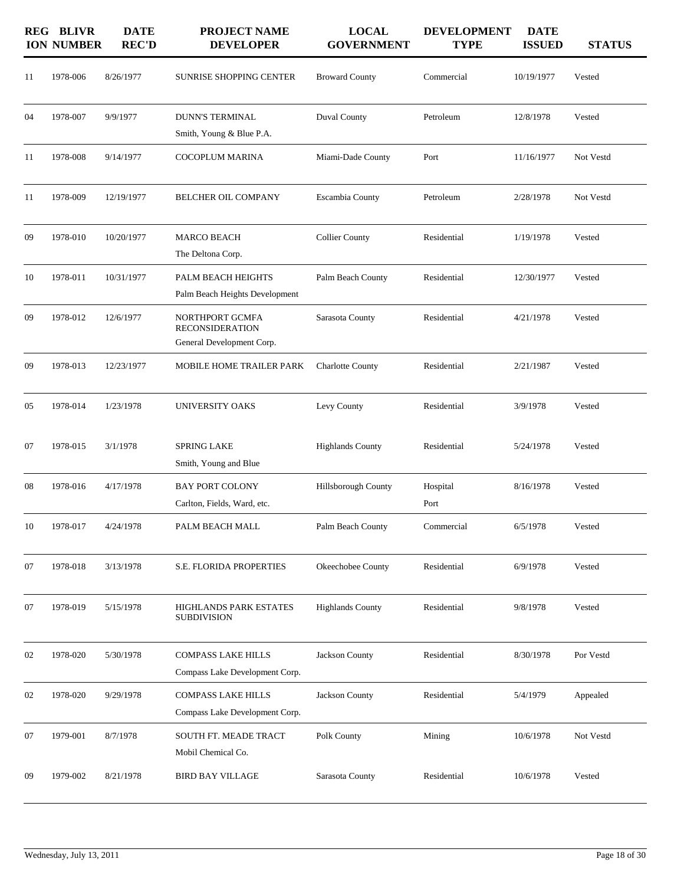|    | <b>REG BLIVR</b><br><b>ION NUMBER</b> | <b>DATE</b><br><b>REC'D</b> | <b>PROJECT NAME</b><br><b>DEVELOPER</b>                                | <b>LOCAL</b><br><b>GOVERNMENT</b> | <b>DEVELOPMENT</b><br><b>TYPE</b> | <b>DATE</b><br><b>ISSUED</b> | <b>STATUS</b> |
|----|---------------------------------------|-----------------------------|------------------------------------------------------------------------|-----------------------------------|-----------------------------------|------------------------------|---------------|
| 11 | 1978-006                              | 8/26/1977                   | <b>SUNRISE SHOPPING CENTER</b>                                         | <b>Broward County</b>             | Commercial                        | 10/19/1977                   | Vested        |
| 04 | 1978-007                              | 9/9/1977                    | <b>DUNN'S TERMINAL</b><br>Smith, Young & Blue P.A.                     | <b>Duval County</b>               | Petroleum                         | 12/8/1978                    | Vested        |
| 11 | 1978-008                              | 9/14/1977                   | <b>COCOPLUM MARINA</b>                                                 | Miami-Dade County                 | Port                              | 11/16/1977                   | Not Vestd     |
| 11 | 1978-009                              | 12/19/1977                  | <b>BELCHER OIL COMPANY</b>                                             | Escambia County                   | Petroleum                         | 2/28/1978                    | Not Vestd     |
| 09 | 1978-010                              | 10/20/1977                  | <b>MARCO BEACH</b><br>The Deltona Corp.                                | <b>Collier County</b>             | Residential                       | 1/19/1978                    | Vested        |
| 10 | 1978-011                              | 10/31/1977                  | PALM BEACH HEIGHTS<br>Palm Beach Heights Development                   | Palm Beach County                 | Residential                       | 12/30/1977                   | Vested        |
| 09 | 1978-012                              | 12/6/1977                   | NORTHPORT GCMFA<br><b>RECONSIDERATION</b><br>General Development Corp. | Sarasota County                   | Residential                       | 4/21/1978                    | Vested        |
| 09 | 1978-013                              | 12/23/1977                  | MOBILE HOME TRAILER PARK                                               | <b>Charlotte County</b>           | Residential                       | 2/21/1987                    | Vested        |
| 05 | 1978-014                              | 1/23/1978                   | <b>UNIVERSITY OAKS</b>                                                 | Levy County                       | Residential                       | 3/9/1978                     | Vested        |
| 07 | 1978-015                              | 3/1/1978                    | <b>SPRING LAKE</b><br>Smith, Young and Blue                            | <b>Highlands County</b>           | Residential                       | 5/24/1978                    | Vested        |
| 08 | 1978-016                              | 4/17/1978                   | <b>BAY PORT COLONY</b><br>Carlton, Fields, Ward, etc.                  | Hillsborough County               | Hospital<br>Port                  | 8/16/1978                    | Vested        |
| 10 | 1978-017                              | 4/24/1978                   | PALM BEACH MALL                                                        | Palm Beach County                 | Commercial                        | 6/5/1978                     | Vested        |
| 07 | 1978-018                              | 3/13/1978                   | S.E. FLORIDA PROPERTIES                                                | Okeechobee County                 | Residential                       | 6/9/1978                     | Vested        |
| 07 | 1978-019                              | 5/15/1978                   | HIGHLANDS PARK ESTATES<br><b>SUBDIVISION</b>                           | <b>Highlands County</b>           | Residential                       | 9/8/1978                     | Vested        |
| 02 | 1978-020                              | 5/30/1978                   | <b>COMPASS LAKE HILLS</b><br>Compass Lake Development Corp.            | Jackson County                    | Residential                       | 8/30/1978                    | Por Vestd     |
| 02 | 1978-020                              | 9/29/1978                   | <b>COMPASS LAKE HILLS</b><br>Compass Lake Development Corp.            | Jackson County                    | Residential                       | 5/4/1979                     | Appealed      |
| 07 | 1979-001                              | 8/7/1978                    | SOUTH FT. MEADE TRACT<br>Mobil Chemical Co.                            | Polk County                       | Mining                            | 10/6/1978                    | Not Vestd     |
| 09 | 1979-002                              | 8/21/1978                   | <b>BIRD BAY VILLAGE</b>                                                | Sarasota County                   | Residential                       | 10/6/1978                    | Vested        |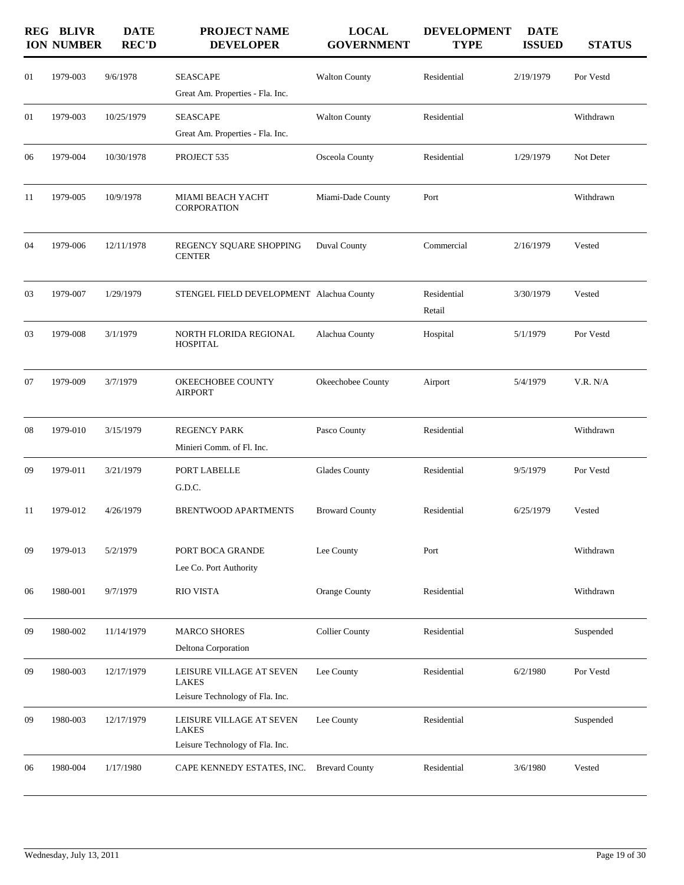|    | <b>REG BLIVR</b><br><b>ION NUMBER</b> | <b>DATE</b><br><b>REC'D</b> | <b>PROJECT NAME</b><br><b>DEVELOPER</b>                                     | <b>LOCAL</b><br><b>GOVERNMENT</b> | <b>DEVELOPMENT</b><br><b>TYPE</b> | <b>DATE</b><br><b>ISSUED</b> | <b>STATUS</b> |
|----|---------------------------------------|-----------------------------|-----------------------------------------------------------------------------|-----------------------------------|-----------------------------------|------------------------------|---------------|
| 01 | 1979-003                              | 9/6/1978                    | <b>SEASCAPE</b><br>Great Am. Properties - Fla. Inc.                         | <b>Walton County</b>              | Residential                       | 2/19/1979                    | Por Vestd     |
| 01 | 1979-003                              | 10/25/1979                  | <b>SEASCAPE</b><br>Great Am. Properties - Fla. Inc.                         | <b>Walton County</b>              | Residential                       |                              | Withdrawn     |
| 06 | 1979-004                              | 10/30/1978                  | PROJECT 535                                                                 | Osceola County                    | Residential                       | 1/29/1979                    | Not Deter     |
| 11 | 1979-005                              | 10/9/1978                   | MIAMI BEACH YACHT<br>CORPORATION                                            | Miami-Dade County                 | Port                              |                              | Withdrawn     |
| 04 | 1979-006                              | 12/11/1978                  | REGENCY SQUARE SHOPPING<br><b>CENTER</b>                                    | <b>Duval County</b>               | Commercial                        | 2/16/1979                    | Vested        |
| 03 | 1979-007                              | 1/29/1979                   | STENGEL FIELD DEVELOPMENT Alachua County                                    |                                   | Residential<br>Retail             | 3/30/1979                    | Vested        |
| 03 | 1979-008                              | 3/1/1979                    | NORTH FLORIDA REGIONAL<br><b>HOSPITAL</b>                                   | Alachua County                    | Hospital                          | 5/1/1979                     | Por Vestd     |
| 07 | 1979-009                              | 3/7/1979                    | OKEECHOBEE COUNTY<br><b>AIRPORT</b>                                         | Okeechobee County                 | Airport                           | 5/4/1979                     | V.R. N/A      |
| 08 | 1979-010                              | 3/15/1979                   | <b>REGENCY PARK</b><br>Minieri Comm. of Fl. Inc.                            | Pasco County                      | Residential                       |                              | Withdrawn     |
| 09 | 1979-011                              | 3/21/1979                   | PORT LABELLE<br>G.D.C.                                                      | <b>Glades County</b>              | Residential                       | 9/5/1979                     | Por Vestd     |
| 11 | 1979-012                              | 4/26/1979                   | <b>BRENTWOOD APARTMENTS</b>                                                 | <b>Broward County</b>             | Residential                       | 6/25/1979                    | Vested        |
| 09 | 1979-013                              | 5/2/1979                    | PORT BOCA GRANDE<br>Lee Co. Port Authority                                  | Lee County                        | Port                              |                              | Withdrawn     |
| 06 | 1980-001                              | 9/7/1979                    | <b>RIO VISTA</b>                                                            | Orange County                     | Residential                       |                              | Withdrawn     |
| 09 | 1980-002                              | 11/14/1979                  | <b>MARCO SHORES</b><br>Deltona Corporation                                  | <b>Collier County</b>             | Residential                       |                              | Suspended     |
| 09 | 1980-003                              | 12/17/1979                  | LEISURE VILLAGE AT SEVEN<br><b>LAKES</b><br>Leisure Technology of Fla. Inc. | Lee County                        | Residential                       | 6/2/1980                     | Por Vestd     |
| 09 | 1980-003                              | 12/17/1979                  | LEISURE VILLAGE AT SEVEN<br>LAKES<br>Leisure Technology of Fla. Inc.        | Lee County                        | Residential                       |                              | Suspended     |
| 06 | 1980-004                              | 1/17/1980                   | CAPE KENNEDY ESTATES, INC.                                                  | <b>Brevard County</b>             | Residential                       | 3/6/1980                     | Vested        |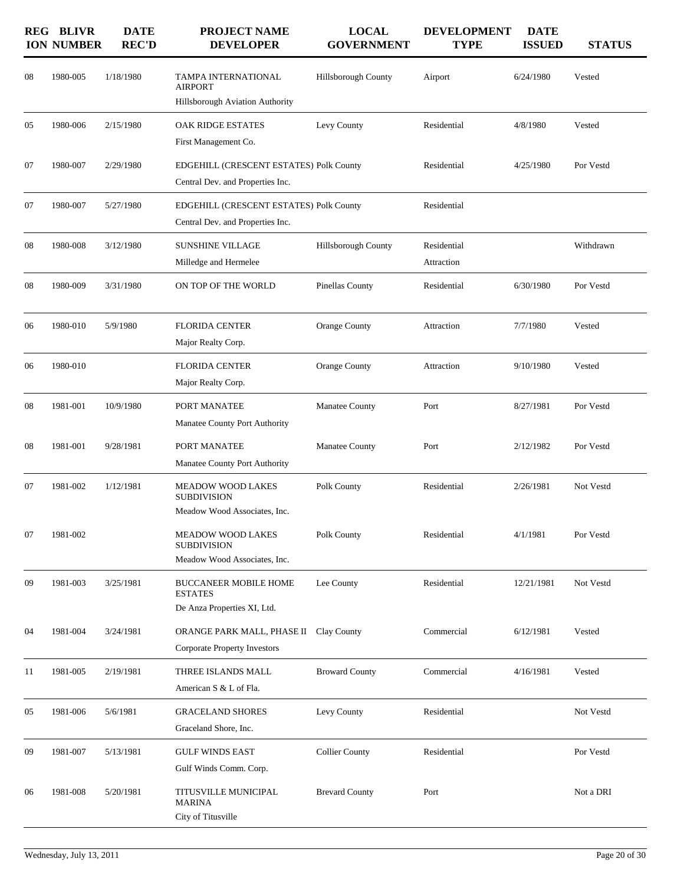|    | <b>REG BLIVR</b><br><b>ION NUMBER</b> | <b>DATE</b><br><b>REC'D</b> | <b>PROJECT NAME</b><br><b>DEVELOPER</b>                                                                        | <b>LOCAL</b><br><b>GOVERNMENT</b> | <b>DEVELOPMENT</b><br><b>TYPE</b> | <b>DATE</b><br><b>ISSUED</b> | <b>STATUS</b> |
|----|---------------------------------------|-----------------------------|----------------------------------------------------------------------------------------------------------------|-----------------------------------|-----------------------------------|------------------------------|---------------|
| 08 | 1980-005                              | 1/18/1980                   | TAMPA INTERNATIONAL<br><b>AIRPORT</b><br><b>Hillsborough Aviation Authority</b>                                | Hillsborough County               | Airport                           | 6/24/1980                    | Vested        |
| 05 | 1980-006                              | 2/15/1980                   | OAK RIDGE ESTATES<br>First Management Co.                                                                      | Levy County                       | Residential                       | 4/8/1980                     | Vested        |
| 07 | 1980-007                              | 2/29/1980                   | EDGEHILL (CRESCENT ESTATES) Polk County<br>Central Dev. and Properties Inc.                                    |                                   | Residential                       | 4/25/1980                    | Por Vestd     |
| 07 | 1980-007                              | 5/27/1980                   | EDGEHILL (CRESCENT ESTATES) Polk County<br>Central Dev. and Properties Inc.                                    |                                   | Residential                       |                              |               |
| 08 | 1980-008                              | 3/12/1980                   | <b>SUNSHINE VILLAGE</b><br>Milledge and Hermelee                                                               | <b>Hillsborough County</b>        | Residential<br>Attraction         |                              | Withdrawn     |
| 08 | 1980-009                              | 3/31/1980                   | ON TOP OF THE WORLD                                                                                            | Pinellas County                   | Residential                       | 6/30/1980                    | Por Vestd     |
| 06 | 1980-010                              | 5/9/1980                    | <b>FLORIDA CENTER</b><br>Major Realty Corp.                                                                    | Orange County                     | Attraction                        | 7/7/1980                     | Vested        |
| 06 | 1980-010                              |                             | <b>FLORIDA CENTER</b><br>Major Realty Corp.                                                                    | Orange County                     | Attraction                        | 9/10/1980                    | Vested        |
| 08 | 1981-001                              | 10/9/1980                   | PORT MANATEE<br>Manatee County Port Authority                                                                  | <b>Manatee County</b>             | Port                              | 8/27/1981                    | Por Vestd     |
| 08 | 1981-001                              | 9/28/1981                   | PORT MANATEE<br>Manatee County Port Authority                                                                  | Manatee County                    | Port                              | 2/12/1982                    | Por Vestd     |
| 07 | 1981-002                              | 1/12/1981                   | <b>MEADOW WOOD LAKES</b><br><b>SUBDIVISION</b>                                                                 | Polk County                       | Residential                       | 2/26/1981                    | Not Vestd     |
| 07 | 1981-002                              |                             | Meadow Wood Associates, Inc.<br><b>MEADOW WOOD LAKES</b><br><b>SUBDIVISION</b><br>Meadow Wood Associates, Inc. | Polk County                       | Residential                       | 4/1/1981                     | Por Vestd     |
| 09 | 1981-003                              | 3/25/1981                   | <b>BUCCANEER MOBILE HOME</b><br><b>ESTATES</b><br>De Anza Properties XI, Ltd.                                  | Lee County                        | Residential                       | 12/21/1981                   | Not Vestd     |
| 04 | 1981-004                              | 3/24/1981                   | ORANGE PARK MALL, PHASE II Clay County<br>Corporate Property Investors                                         |                                   | Commercial                        | 6/12/1981                    | Vested        |
| 11 | 1981-005                              | 2/19/1981                   | THREE ISLANDS MALL<br>American S & L of Fla.                                                                   | <b>Broward County</b>             | Commercial                        | 4/16/1981                    | Vested        |
| 05 | 1981-006                              | 5/6/1981                    | <b>GRACELAND SHORES</b><br>Graceland Shore, Inc.                                                               | Levy County                       | Residential                       |                              | Not Vestd     |
| 09 | 1981-007                              | 5/13/1981                   | <b>GULF WINDS EAST</b><br>Gulf Winds Comm. Corp.                                                               | <b>Collier County</b>             | Residential                       |                              | Por Vestd     |
| 06 | 1981-008                              | 5/20/1981                   | TITUSVILLE MUNICIPAL<br>MARINA<br>City of Titusville                                                           | <b>Brevard County</b>             | Port                              |                              | Not a DRI     |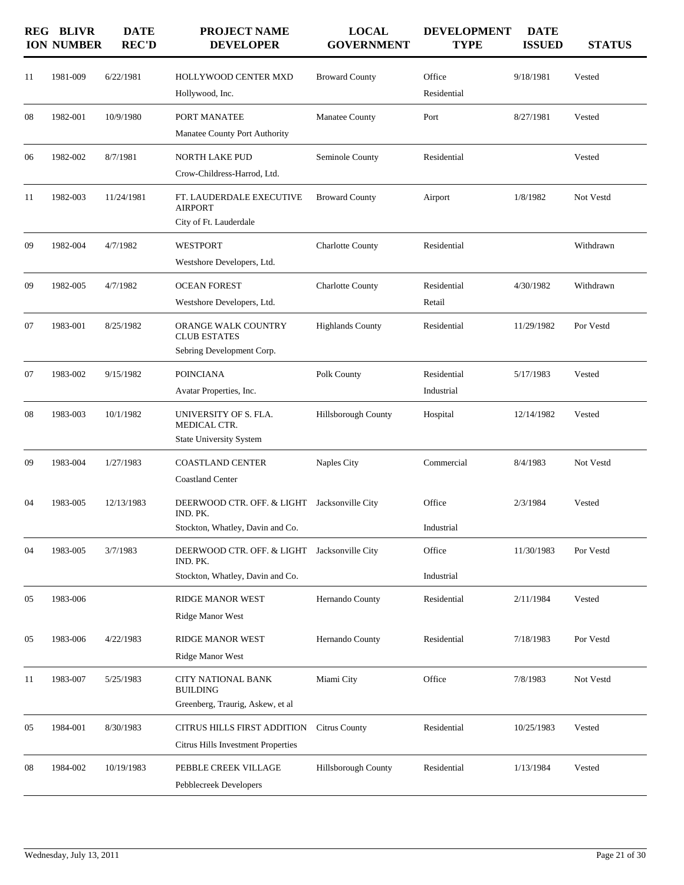|    | <b>REG BLIVR</b><br><b>ION NUMBER</b> | <b>DATE</b><br><b>REC'D</b> | <b>PROJECT NAME</b><br><b>DEVELOPER</b>                                                      | <b>LOCAL</b><br><b>GOVERNMENT</b> | <b>DEVELOPMENT</b><br><b>TYPE</b> | <b>DATE</b><br><b>ISSUED</b> | <b>STATUS</b> |
|----|---------------------------------------|-----------------------------|----------------------------------------------------------------------------------------------|-----------------------------------|-----------------------------------|------------------------------|---------------|
| 11 | 1981-009                              | 6/22/1981                   | <b>HOLLYWOOD CENTER MXD</b><br>Hollywood, Inc.                                               | <b>Broward County</b>             | Office<br>Residential             | 9/18/1981                    | Vested        |
| 08 | 1982-001                              | 10/9/1980                   | PORT MANATEE<br>Manatee County Port Authority                                                | Manatee County                    | Port                              | 8/27/1981                    | Vested        |
| 06 | 1982-002                              | 8/7/1981                    | NORTH LAKE PUD<br>Crow-Childress-Harrod, Ltd.                                                | Seminole County                   | Residential                       |                              | Vested        |
| 11 | 1982-003                              | 11/24/1981                  | FT. LAUDERDALE EXECUTIVE<br><b>AIRPORT</b><br>City of Ft. Lauderdale                         | <b>Broward County</b>             | Airport                           | 1/8/1982                     | Not Vestd     |
| 09 | 1982-004                              | 4/7/1982                    | <b>WESTPORT</b><br>Westshore Developers, Ltd.                                                | <b>Charlotte County</b>           | Residential                       |                              | Withdrawn     |
| 09 | 1982-005                              | 4/7/1982                    | <b>OCEAN FOREST</b><br>Westshore Developers, Ltd.                                            | Charlotte County                  | Residential<br>Retail             | 4/30/1982                    | Withdrawn     |
| 07 | 1983-001                              | 8/25/1982                   | ORANGE WALK COUNTRY<br><b>CLUB ESTATES</b><br>Sebring Development Corp.                      | <b>Highlands County</b>           | Residential                       | 11/29/1982                   | Por Vestd     |
| 07 | 1983-002                              | 9/15/1982                   | <b>POINCIANA</b><br>Avatar Properties, Inc.                                                  | Polk County                       | Residential<br>Industrial         | 5/17/1983                    | Vested        |
| 08 | 1983-003                              | 10/1/1982                   | UNIVERSITY OF S. FLA.<br>MEDICAL CTR.<br><b>State University System</b>                      | Hillsborough County               | Hospital                          | 12/14/1982                   | Vested        |
| 09 | 1983-004                              | 1/27/1983                   | <b>COASTLAND CENTER</b><br><b>Coastland Center</b>                                           | Naples City                       | Commercial                        | 8/4/1983                     | Not Vestd     |
| 04 | 1983-005                              | 12/13/1983                  | DEERWOOD CTR. OFF. & LIGHT Jacksonville City<br>IND. PK.<br>Stockton, Whatley, Davin and Co. |                                   | Office<br>Industrial              | 2/3/1984                     | Vested        |
| 04 | 1983-005                              | 3/7/1983                    | DEERWOOD CTR. OFF. & LIGHT Jacksonville City<br>IND. PK.<br>Stockton, Whatley, Davin and Co. |                                   | Office<br>Industrial              | 11/30/1983                   | Por Vestd     |
| 05 | 1983-006                              |                             | RIDGE MANOR WEST<br>Ridge Manor West                                                         | Hernando County                   | Residential                       | 2/11/1984                    | Vested        |
| 05 | 1983-006                              | 4/22/1983                   | RIDGE MANOR WEST<br>Ridge Manor West                                                         | Hernando County                   | Residential                       | 7/18/1983                    | Por Vestd     |
| 11 | 1983-007                              | 5/25/1983                   | <b>CITY NATIONAL BANK</b><br><b>BUILDING</b><br>Greenberg, Traurig, Askew, et al             | Miami City                        | Office                            | 7/8/1983                     | Not Vestd     |
| 05 | 1984-001                              | 8/30/1983                   | CITRUS HILLS FIRST ADDITION<br>Citrus Hills Investment Properties                            | <b>Citrus County</b>              | Residential                       | 10/25/1983                   | Vested        |
| 08 | 1984-002                              | 10/19/1983                  | PEBBLE CREEK VILLAGE<br>Pebblecreek Developers                                               | Hillsborough County               | Residential                       | 1/13/1984                    | Vested        |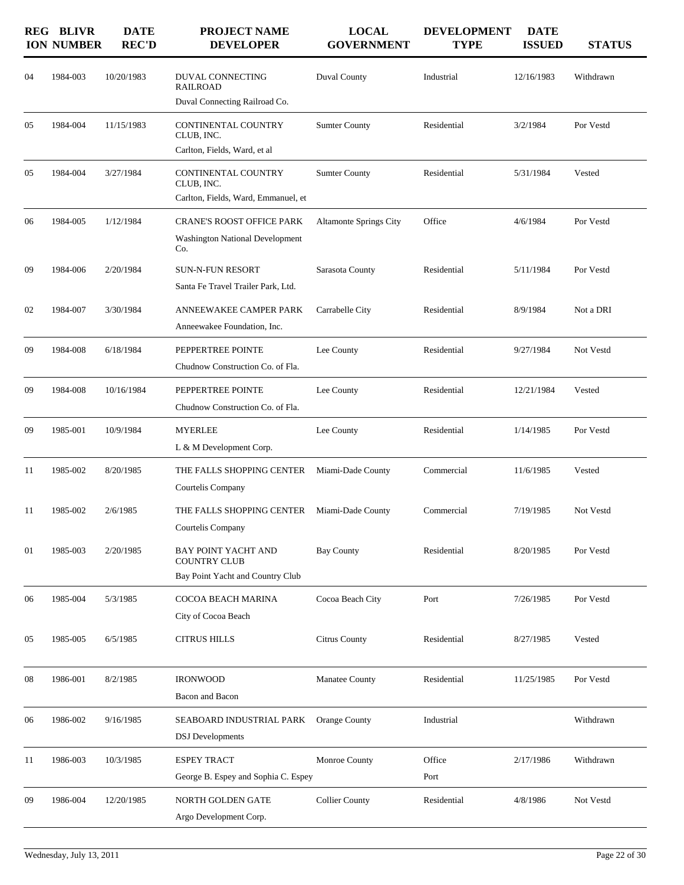|    | <b>REG BLIVR</b><br><b>ION NUMBER</b> | <b>DATE</b><br><b>REC'D</b> | <b>PROJECT NAME</b><br><b>DEVELOPER</b>                                           | <b>LOCAL</b><br><b>GOVERNMENT</b> | <b>DEVELOPMENT</b><br><b>TYPE</b> | <b>DATE</b><br><b>ISSUED</b> | <b>STATUS</b> |
|----|---------------------------------------|-----------------------------|-----------------------------------------------------------------------------------|-----------------------------------|-----------------------------------|------------------------------|---------------|
| 04 | 1984-003                              | 10/20/1983                  | DUVAL CONNECTING<br><b>RAILROAD</b><br>Duval Connecting Railroad Co.              | Duval County                      | Industrial                        | 12/16/1983                   | Withdrawn     |
| 05 | 1984-004                              | 11/15/1983                  | CONTINENTAL COUNTRY<br>CLUB, INC.<br>Carlton, Fields, Ward, et al                 | <b>Sumter County</b>              | Residential                       | 3/2/1984                     | Por Vestd     |
| 05 | 1984-004                              | 3/27/1984                   | CONTINENTAL COUNTRY<br>CLUB, INC.<br>Carlton, Fields, Ward, Emmanuel, et          | <b>Sumter County</b>              | Residential                       | 5/31/1984                    | Vested        |
| 06 | 1984-005                              | 1/12/1984                   | <b>CRANE'S ROOST OFFICE PARK</b><br><b>Washington National Development</b><br>Co. | <b>Altamonte Springs City</b>     | Office                            | 4/6/1984                     | Por Vestd     |
| 09 | 1984-006                              | 2/20/1984                   | <b>SUN-N-FUN RESORT</b><br>Santa Fe Travel Trailer Park, Ltd.                     | Sarasota County                   | Residential                       | 5/11/1984                    | Por Vestd     |
| 02 | 1984-007                              | 3/30/1984                   | ANNEEWAKEE CAMPER PARK<br>Anneewakee Foundation, Inc.                             | Carrabelle City                   | Residential                       | 8/9/1984                     | Not a DRI     |
| 09 | 1984-008                              | 6/18/1984                   | PEPPERTREE POINTE<br>Chudnow Construction Co. of Fla.                             | Lee County                        | Residential                       | 9/27/1984                    | Not Vestd     |
| 09 | 1984-008                              | 10/16/1984                  | PEPPERTREE POINTE<br>Chudnow Construction Co. of Fla.                             | Lee County                        | Residential                       | 12/21/1984                   | Vested        |
| 09 | 1985-001                              | 10/9/1984                   | <b>MYERLEE</b><br>L & M Development Corp.                                         | Lee County                        | Residential                       | 1/14/1985                    | Por Vestd     |
| 11 | 1985-002                              | 8/20/1985                   | THE FALLS SHOPPING CENTER<br>Courtelis Company                                    | Miami-Dade County                 | Commercial                        | 11/6/1985                    | Vested        |
| 11 | 1985-002                              | 2/6/1985                    | THE FALLS SHOPPING CENTER<br>Courtelis Company                                    | Miami-Dade County                 | Commercial                        | 7/19/1985                    | Not Vestd     |
| 01 | 1985-003                              | 2/20/1985                   | BAY POINT YACHT AND<br><b>COUNTRY CLUB</b><br>Bay Point Yacht and Country Club    | <b>Bay County</b>                 | Residential                       | 8/20/1985                    | Por Vestd     |
| 06 | 1985-004                              | 5/3/1985                    | COCOA BEACH MARINA<br>City of Cocoa Beach                                         | Cocoa Beach City                  | Port                              | 7/26/1985                    | Por Vestd     |
| 05 | 1985-005                              | 6/5/1985                    | <b>CITRUS HILLS</b>                                                               | Citrus County                     | Residential                       | 8/27/1985                    | Vested        |
| 08 | 1986-001                              | 8/2/1985                    | <b>IRONWOOD</b><br>Bacon and Bacon                                                | Manatee County                    | Residential                       | 11/25/1985                   | Por Vestd     |
| 06 | 1986-002                              | 9/16/1985                   | SEABOARD INDUSTRIAL PARK<br><b>DSJ</b> Developments                               | <b>Orange County</b>              | Industrial                        |                              | Withdrawn     |
| 11 | 1986-003                              | 10/3/1985                   | <b>ESPEY TRACT</b><br>George B. Espey and Sophia C. Espey                         | Monroe County                     | Office<br>Port                    | 2/17/1986                    | Withdrawn     |
| 09 | 1986-004                              | 12/20/1985                  | NORTH GOLDEN GATE<br>Argo Development Corp.                                       | <b>Collier County</b>             | Residential                       | 4/8/1986                     | Not Vestd     |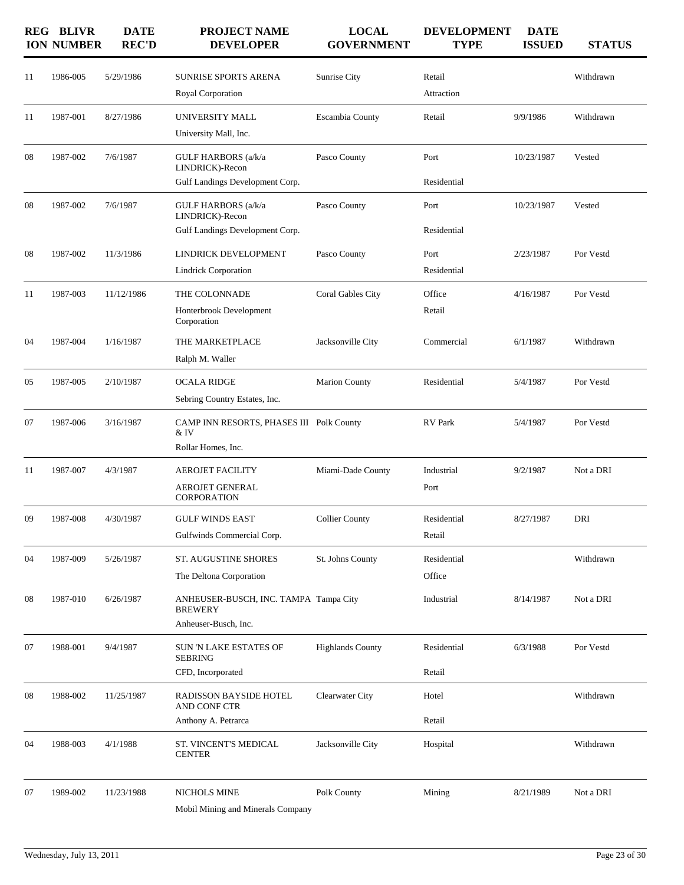|    | <b>REG BLIVR</b><br><b>ION NUMBER</b> | <b>DATE</b><br><b>REC'D</b> | <b>PROJECT NAME</b><br><b>DEVELOPER</b>                                         | <b>LOCAL</b><br><b>GOVERNMENT</b> | <b>DEVELOPMENT</b><br><b>TYPE</b> | <b>DATE</b><br><b>ISSUED</b> | <b>STATUS</b> |
|----|---------------------------------------|-----------------------------|---------------------------------------------------------------------------------|-----------------------------------|-----------------------------------|------------------------------|---------------|
| 11 | 1986-005                              | 5/29/1986                   | SUNRISE SPORTS ARENA                                                            | Sunrise City                      | Retail                            |                              | Withdrawn     |
|    |                                       |                             | Royal Corporation                                                               |                                   | Attraction                        |                              |               |
| 11 | 1987-001                              | 8/27/1986                   | UNIVERSITY MALL                                                                 | Escambia County                   | Retail                            | 9/9/1986                     | Withdrawn     |
|    |                                       |                             | University Mall, Inc.                                                           |                                   |                                   |                              |               |
| 08 | 1987-002                              | 7/6/1987                    | <b>GULF HARBORS</b> (a/k/a<br>LINDRICK)-Recon                                   | Pasco County                      | Port                              | 10/23/1987                   | Vested        |
|    |                                       |                             | Gulf Landings Development Corp.                                                 |                                   | Residential                       |                              |               |
| 08 | 1987-002                              | 7/6/1987                    | GULF HARBORS (a/k/a<br>LINDRICK)-Recon                                          | Pasco County                      | Port                              | 10/23/1987                   | Vested        |
|    |                                       |                             | Gulf Landings Development Corp.                                                 |                                   | Residential                       |                              |               |
| 08 | 1987-002                              | 11/3/1986                   | LINDRICK DEVELOPMENT                                                            | Pasco County                      | Port                              | 2/23/1987                    | Por Vestd     |
|    |                                       |                             | <b>Lindrick Corporation</b>                                                     |                                   | Residential                       |                              |               |
| 11 | 1987-003                              | 11/12/1986                  | THE COLONNADE                                                                   | Coral Gables City                 | Office                            | 4/16/1987                    | Por Vestd     |
|    |                                       |                             | Honterbrook Development<br>Corporation                                          |                                   | Retail                            |                              |               |
| 04 | 1987-004                              | 1/16/1987                   | THE MARKETPLACE<br>Ralph M. Waller                                              | Jacksonville City                 | Commercial                        | 6/1/1987                     | Withdrawn     |
| 05 | 1987-005                              | 2/10/1987                   | <b>OCALA RIDGE</b>                                                              | <b>Marion County</b>              | Residential                       | 5/4/1987                     | Por Vestd     |
|    |                                       |                             | Sebring Country Estates, Inc.                                                   |                                   |                                   |                              |               |
| 07 | 1987-006                              | 3/16/1987                   | CAMP INN RESORTS, PHASES III Polk County<br>& IV                                |                                   | <b>RV</b> Park                    | 5/4/1987                     | Por Vestd     |
|    |                                       |                             | Rollar Homes, Inc.                                                              |                                   |                                   |                              |               |
| 11 | 1987-007                              | 4/3/1987                    | <b>AEROJET FACILITY</b>                                                         | Miami-Dade County                 | Industrial                        | 9/2/1987                     | Not a DRI     |
|    |                                       |                             | <b>AEROJET GENERAL</b><br><b>CORPORATION</b>                                    |                                   | Port                              |                              |               |
| 09 | 1987-008                              | 4/30/1987                   | <b>GULF WINDS EAST</b>                                                          | <b>Collier County</b>             | Residential                       | 8/27/1987                    | DRI           |
|    |                                       |                             | Gulfwinds Commercial Corp.                                                      |                                   | Retail                            |                              |               |
| 04 | 1987-009                              | 5/26/1987                   | ST. AUGUSTINE SHORES                                                            | St. Johns County                  | Residential                       |                              | Withdrawn     |
|    |                                       |                             | The Deltona Corporation                                                         |                                   | Office                            |                              |               |
| 08 | 1987-010                              | 6/26/1987                   | ANHEUSER-BUSCH, INC. TAMPA Tampa City<br><b>BREWERY</b><br>Anheuser-Busch, Inc. |                                   | Industrial                        | 8/14/1987                    | Not a DRI     |
| 07 | 1988-001                              | 9/4/1987                    | SUN 'N LAKE ESTATES OF<br><b>SEBRING</b>                                        | <b>Highlands County</b>           | Residential                       | 6/3/1988                     | Por Vestd     |
|    |                                       |                             | CFD, Incorporated                                                               |                                   | Retail                            |                              |               |
| 08 | 1988-002                              | 11/25/1987                  | RADISSON BAYSIDE HOTEL<br>AND CONF CTR                                          | Clearwater City                   | Hotel                             |                              | Withdrawn     |
|    |                                       |                             | Anthony A. Petrarca                                                             |                                   | Retail                            |                              |               |
| 04 | 1988-003                              | 4/1/1988                    | ST. VINCENT'S MEDICAL<br><b>CENTER</b>                                          | Jacksonville City                 | Hospital                          |                              | Withdrawn     |
| 07 | 1989-002                              | 11/23/1988                  | NICHOLS MINE<br>Mobil Mining and Minerals Company                               | Polk County                       | Mining                            | 8/21/1989                    | Not a DRI     |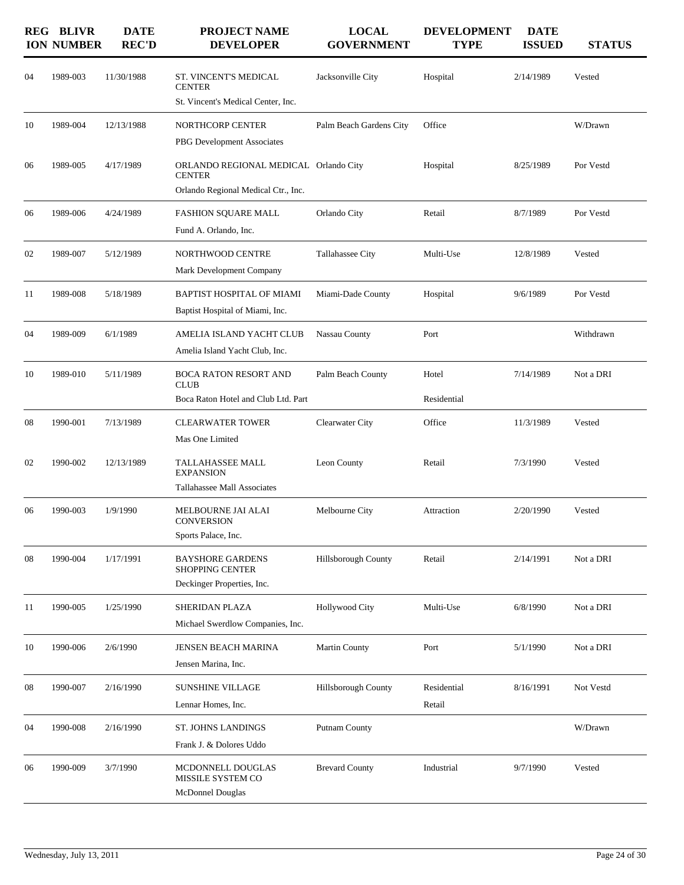|    | <b>REG BLIVR</b><br><b>ION NUMBER</b> | <b>DATE</b><br><b>REC'D</b> | <b>PROJECT NAME</b><br><b>DEVELOPER</b>                                                       | <b>LOCAL</b><br><b>GOVERNMENT</b> | <b>DEVELOPMENT</b><br><b>TYPE</b> | <b>DATE</b><br><b>ISSUED</b> | <b>STATUS</b> |
|----|---------------------------------------|-----------------------------|-----------------------------------------------------------------------------------------------|-----------------------------------|-----------------------------------|------------------------------|---------------|
| 04 | 1989-003                              | 11/30/1988                  | ST. VINCENT'S MEDICAL<br><b>CENTER</b><br>St. Vincent's Medical Center, Inc.                  | Jacksonville City                 | Hospital                          | 2/14/1989                    | Vested        |
| 10 | 1989-004                              | 12/13/1988                  | NORTHCORP CENTER<br>PBG Development Associates                                                | Palm Beach Gardens City           | Office                            |                              | W/Drawn       |
| 06 | 1989-005                              | 4/17/1989                   | ORLANDO REGIONAL MEDICAL Orlando City<br><b>CENTER</b><br>Orlando Regional Medical Ctr., Inc. |                                   | Hospital                          | 8/25/1989                    | Por Vestd     |
| 06 | 1989-006                              | 4/24/1989                   | <b>FASHION SQUARE MALL</b><br>Fund A. Orlando, Inc.                                           | Orlando City                      | Retail                            | 8/7/1989                     | Por Vestd     |
| 02 | 1989-007                              | 5/12/1989                   | <b>NORTHWOOD CENTRE</b><br>Mark Development Company                                           | Tallahassee City                  | Multi-Use                         | 12/8/1989                    | Vested        |
| 11 | 1989-008                              | 5/18/1989                   | BAPTIST HOSPITAL OF MIAMI<br>Baptist Hospital of Miami, Inc.                                  | Miami-Dade County                 | Hospital                          | 9/6/1989                     | Por Vestd     |
| 04 | 1989-009                              | 6/1/1989                    | AMELIA ISLAND YACHT CLUB<br>Amelia Island Yacht Club, Inc.                                    | Nassau County                     | Port                              |                              | Withdrawn     |
| 10 | 1989-010                              | 5/11/1989                   | <b>BOCA RATON RESORT AND</b><br><b>CLUB</b><br>Boca Raton Hotel and Club Ltd. Part            | Palm Beach County                 | Hotel<br>Residential              | 7/14/1989                    | Not a DRI     |
| 08 | 1990-001                              | 7/13/1989                   | <b>CLEARWATER TOWER</b><br>Mas One Limited                                                    | Clearwater City                   | Office                            | 11/3/1989                    | Vested        |
| 02 | 1990-002                              | 12/13/1989                  | TALLAHASSEE MALL<br><b>EXPANSION</b><br>Tallahassee Mall Associates                           | Leon County                       | Retail                            | 7/3/1990                     | Vested        |
| 06 | 1990-003                              | 1/9/1990                    | MELBOURNE JAI ALAI<br><b>CONVERSION</b><br>Sports Palace, Inc.                                | Melbourne City                    | Attraction                        | 2/20/1990                    | Vested        |
| 08 | 1990-004                              | 1/17/1991                   | <b>BAYSHORE GARDENS</b><br><b>SHOPPING CENTER</b><br>Deckinger Properties, Inc.               | <b>Hillsborough County</b>        | Retail                            | 2/14/1991                    | Not a DRI     |
| 11 | 1990-005                              | 1/25/1990                   | SHERIDAN PLAZA<br>Michael Swerdlow Companies, Inc.                                            | <b>Hollywood City</b>             | Multi-Use                         | 6/8/1990                     | Not a DRI     |
| 10 | 1990-006                              | 2/6/1990                    | JENSEN BEACH MARINA<br>Jensen Marina, Inc.                                                    | <b>Martin County</b>              | Port                              | 5/1/1990                     | Not a DRI     |
| 08 | 1990-007                              | 2/16/1990                   | <b>SUNSHINE VILLAGE</b><br>Lennar Homes, Inc.                                                 | Hillsborough County               | Residential<br>Retail             | 8/16/1991                    | Not Vestd     |
| 04 | 1990-008                              | 2/16/1990                   | ST. JOHNS LANDINGS<br>Frank J. & Dolores Uddo                                                 | Putnam County                     |                                   |                              | W/Drawn       |
| 06 | 1990-009                              | 3/7/1990                    | MCDONNELL DOUGLAS<br>MISSILE SYSTEM CO<br>McDonnel Douglas                                    | <b>Brevard County</b>             | Industrial                        | 9/7/1990                     | Vested        |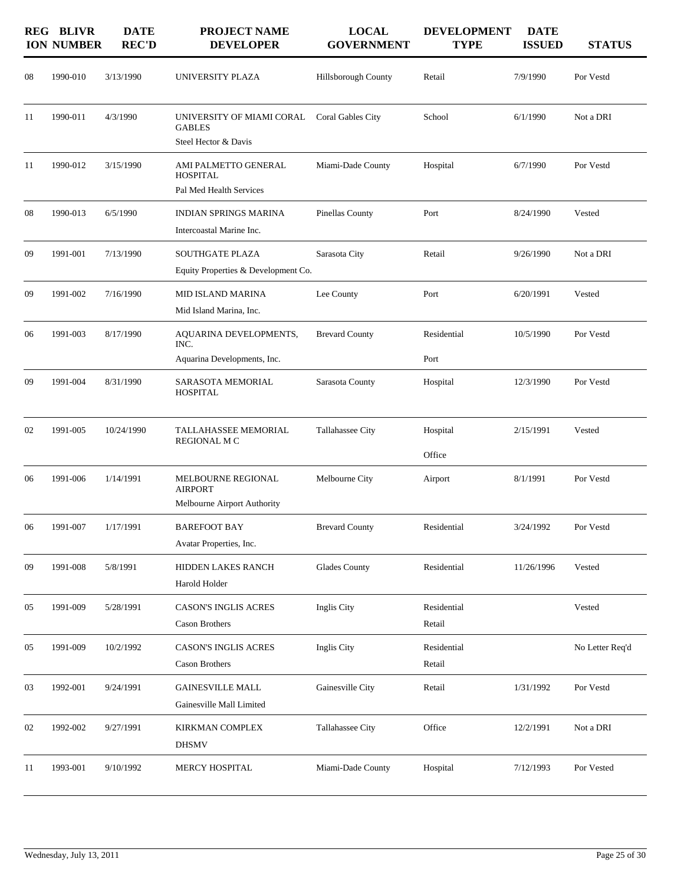|    | <b>REG BLIVR</b><br><b>ION NUMBER</b> | <b>DATE</b><br><b>REC'D</b> | <b>PROJECT NAME</b><br><b>DEVELOPER</b>                             | <b>LOCAL</b><br><b>GOVERNMENT</b> | <b>DEVELOPMENT</b><br><b>TYPE</b> | <b>DATE</b><br><b>ISSUED</b> | <b>STATUS</b>   |
|----|---------------------------------------|-----------------------------|---------------------------------------------------------------------|-----------------------------------|-----------------------------------|------------------------------|-----------------|
| 08 | 1990-010                              | 3/13/1990                   | UNIVERSITY PLAZA                                                    | Hillsborough County               | Retail                            | 7/9/1990                     | Por Vestd       |
| 11 | 1990-011                              | 4/3/1990                    | UNIVERSITY OF MIAMI CORAL<br><b>GABLES</b><br>Steel Hector & Davis  | Coral Gables City                 | School                            | 6/1/1990                     | Not a DRI       |
| 11 | 1990-012                              | 3/15/1990                   | AMI PALMETTO GENERAL<br><b>HOSPITAL</b><br>Pal Med Health Services  | Miami-Dade County                 | Hospital                          | 6/7/1990                     | Por Vestd       |
| 08 | 1990-013                              | 6/5/1990                    | <b>INDIAN SPRINGS MARINA</b><br>Intercoastal Marine Inc.            | Pinellas County                   | Port                              | 8/24/1990                    | Vested          |
| 09 | 1991-001                              | 7/13/1990                   | <b>SOUTHGATE PLAZA</b><br>Equity Properties & Development Co.       | Sarasota City                     | Retail                            | 9/26/1990                    | Not a DRI       |
| 09 | 1991-002                              | 7/16/1990                   | <b>MID ISLAND MARINA</b><br>Mid Island Marina, Inc.                 | Lee County                        | Port                              | 6/20/1991                    | Vested          |
| 06 | 1991-003                              | 8/17/1990                   | AQUARINA DEVELOPMENTS,<br>INC.<br>Aquarina Developments, Inc.       | <b>Brevard County</b>             | Residential<br>Port               | 10/5/1990                    | Por Vestd       |
| 09 | 1991-004                              | 8/31/1990                   | SARASOTA MEMORIAL<br><b>HOSPITAL</b>                                | Sarasota County                   | Hospital                          | 12/3/1990                    | Por Vestd       |
| 02 | 1991-005                              | 10/24/1990                  | TALLAHASSEE MEMORIAL<br><b>REGIONAL M C</b>                         | Tallahassee City                  | Hospital<br>Office                | 2/15/1991                    | Vested          |
| 06 | 1991-006                              | 1/14/1991                   | MELBOURNE REGIONAL<br><b>AIRPORT</b><br>Melbourne Airport Authority | Melbourne City                    | Airport                           | 8/1/1991                     | Por Vestd       |
| 06 | 1991-007                              | 1/17/1991                   | <b>BAREFOOT BAY</b><br>Avatar Properties, Inc.                      | <b>Brevard County</b>             | Residential                       | 3/24/1992                    | Por Vestd       |
| 09 | 1991-008                              | 5/8/1991                    | HIDDEN LAKES RANCH<br>Harold Holder                                 | <b>Glades County</b>              | Residential                       | 11/26/1996                   | Vested          |
| 05 | 1991-009                              | 5/28/1991                   | <b>CASON'S INGLIS ACRES</b><br>Cason Brothers                       | Inglis City                       | Residential<br>Retail             |                              | Vested          |
| 05 | 1991-009                              | 10/2/1992                   | <b>CASON'S INGLIS ACRES</b><br>Cason Brothers                       | Inglis City                       | Residential<br>Retail             |                              | No Letter Req'd |
| 03 | 1992-001                              | 9/24/1991                   | <b>GAINESVILLE MALL</b><br>Gainesville Mall Limited                 | Gainesville City                  | Retail                            | 1/31/1992                    | Por Vestd       |
| 02 | 1992-002                              | 9/27/1991                   | KIRKMAN COMPLEX<br><b>DHSMV</b>                                     | Tallahassee City                  | Office                            | 12/2/1991                    | Not a DRI       |
| 11 | 1993-001                              | 9/10/1992                   | MERCY HOSPITAL                                                      | Miami-Dade County                 | Hospital                          | 7/12/1993                    | Por Vested      |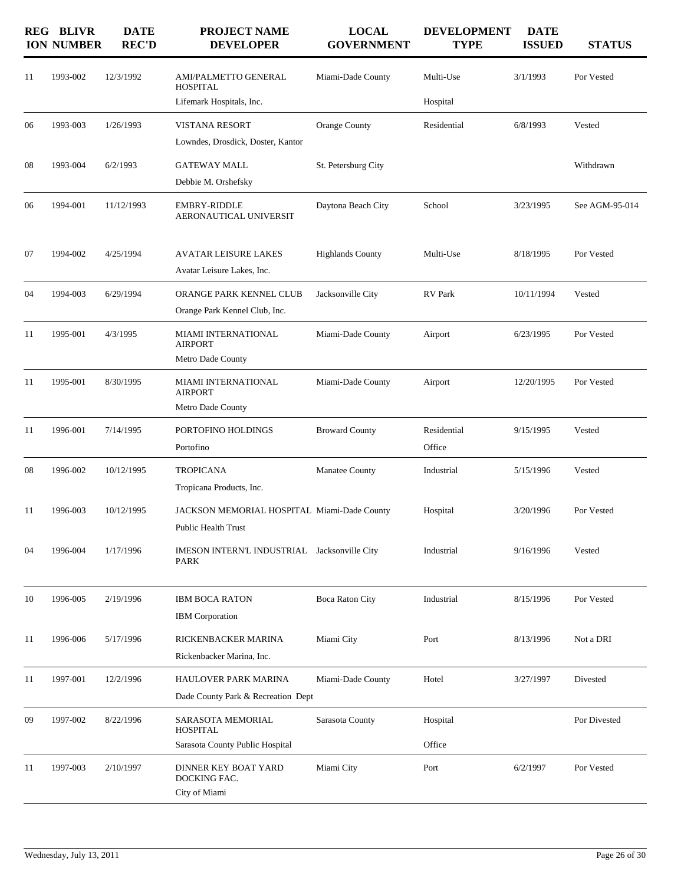|    | <b>REG BLIVR</b><br><b>ION NUMBER</b> | <b>DATE</b><br><b>REC'D</b> | <b>PROJECT NAME</b><br><b>DEVELOPER</b>                           | <b>LOCAL</b><br><b>GOVERNMENT</b> | <b>DEVELOPMENT</b><br><b>TYPE</b> | <b>DATE</b><br><b>ISSUED</b> | <b>STATUS</b>  |
|----|---------------------------------------|-----------------------------|-------------------------------------------------------------------|-----------------------------------|-----------------------------------|------------------------------|----------------|
| 11 | 1993-002                              | 12/3/1992                   | AMI/PALMETTO GENERAL<br><b>HOSPITAL</b>                           | Miami-Dade County                 | Multi-Use                         | 3/1/1993                     | Por Vested     |
|    |                                       |                             | Lifemark Hospitals, Inc.                                          |                                   | Hospital                          |                              |                |
| 06 | 1993-003                              | 1/26/1993                   | <b>VISTANA RESORT</b>                                             | Orange County                     | Residential                       | 6/8/1993                     | Vested         |
|    |                                       |                             | Lowndes, Drosdick, Doster, Kantor                                 |                                   |                                   |                              |                |
| 08 | 1993-004                              | 6/2/1993                    | <b>GATEWAY MALL</b>                                               | St. Petersburg City               |                                   |                              | Withdrawn      |
|    |                                       |                             | Debbie M. Orshefsky                                               |                                   |                                   |                              |                |
| 06 | 1994-001                              | 11/12/1993                  | <b>EMBRY-RIDDLE</b><br>AERONAUTICAL UNIVERSIT                     | Daytona Beach City                | School                            | 3/23/1995                    | See AGM-95-014 |
| 07 | 1994-002                              | 4/25/1994                   | <b>AVATAR LEISURE LAKES</b>                                       | <b>Highlands County</b>           | Multi-Use                         | 8/18/1995                    | Por Vested     |
|    |                                       |                             | Avatar Leisure Lakes, Inc.                                        |                                   |                                   |                              |                |
| 04 | 1994-003                              | 6/29/1994                   | ORANGE PARK KENNEL CLUB                                           | Jacksonville City                 | <b>RV</b> Park                    | 10/11/1994                   | Vested         |
|    |                                       |                             | Orange Park Kennel Club, Inc.                                     |                                   |                                   |                              |                |
| 11 | 1995-001                              | 4/3/1995                    | MIAMI INTERNATIONAL<br><b>AIRPORT</b><br>Metro Dade County        | Miami-Dade County                 | Airport                           | 6/23/1995                    | Por Vested     |
| 11 | 1995-001                              | 8/30/1995                   | <b>MIAMI INTERNATIONAL</b><br><b>AIRPORT</b><br>Metro Dade County | Miami-Dade County                 | Airport                           | 12/20/1995                   | Por Vested     |
| 11 | 1996-001                              | 7/14/1995                   | PORTOFINO HOLDINGS                                                | <b>Broward County</b>             | Residential                       | 9/15/1995                    | Vested         |
|    |                                       |                             | Portofino                                                         |                                   | Office                            |                              |                |
| 08 | 1996-002                              | 10/12/1995                  | <b>TROPICANA</b>                                                  | Manatee County                    | Industrial                        | 5/15/1996                    | Vested         |
|    |                                       |                             | Tropicana Products, Inc.                                          |                                   |                                   |                              |                |
| 11 | 1996-003                              | 10/12/1995                  | JACKSON MEMORIAL HOSPITAL Miami-Dade County                       |                                   | Hospital                          | 3/20/1996                    | Por Vested     |
|    |                                       |                             | <b>Public Health Trust</b>                                        |                                   |                                   |                              |                |
| 04 | 1996-004                              | 1/17/1996                   | IMESON INTERN'L INDUSTRIAL Jacksonville City<br><b>PARK</b>       |                                   | Industrial                        | 9/16/1996                    | Vested         |
| 10 | 1996-005                              | 2/19/1996                   | <b>IBM BOCA RATON</b>                                             | <b>Boca Raton City</b>            | Industrial                        | 8/15/1996                    | Por Vested     |
|    |                                       |                             | <b>IBM</b> Corporation                                            |                                   |                                   |                              |                |
| 11 | 1996-006                              | 5/17/1996                   | RICKENBACKER MARINA                                               | Miami City                        | Port                              | 8/13/1996                    | Not a DRI      |
|    |                                       |                             | Rickenbacker Marina, Inc.                                         |                                   |                                   |                              |                |
| 11 | 1997-001                              | 12/2/1996                   | <b>HAULOVER PARK MARINA</b><br>Dade County Park & Recreation Dept | Miami-Dade County                 | Hotel                             | 3/27/1997                    | Divested       |
| 09 | 1997-002                              | 8/22/1996                   | SARASOTA MEMORIAL                                                 | Sarasota County                   | Hospital                          |                              | Por Divested   |
|    |                                       |                             | <b>HOSPITAL</b><br>Sarasota County Public Hospital                |                                   | Office                            |                              |                |
| 11 | 1997-003                              | 2/10/1997                   | DINNER KEY BOAT YARD<br>DOCKING FAC.<br>City of Miami             | Miami City                        | Port                              | 6/2/1997                     | Por Vested     |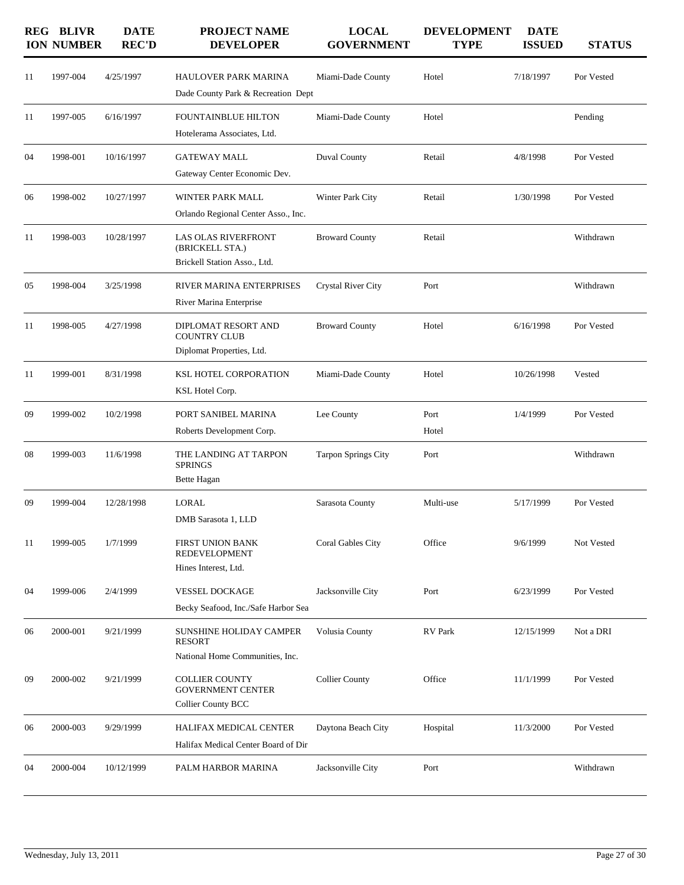|    | <b>REG BLIVR</b><br><b>ION NUMBER</b> | <b>DATE</b><br><b>REC'D</b> | <b>PROJECT NAME</b><br><b>DEVELOPER</b>                                            | <b>LOCAL</b><br><b>GOVERNMENT</b> | <b>DEVELOPMENT</b><br><b>TYPE</b> | <b>DATE</b><br><b>ISSUED</b> | <b>STATUS</b> |
|----|---------------------------------------|-----------------------------|------------------------------------------------------------------------------------|-----------------------------------|-----------------------------------|------------------------------|---------------|
| 11 | 1997-004                              | 4/25/1997                   | <b>HAULOVER PARK MARINA</b><br>Dade County Park & Recreation Dept                  | Miami-Dade County                 | Hotel                             | 7/18/1997                    | Por Vested    |
| 11 | 1997-005                              | 6/16/1997                   | <b>FOUNTAINBLUE HILTON</b><br>Hotelerama Associates, Ltd.                          | Miami-Dade County                 | Hotel                             |                              | Pending       |
| 04 | 1998-001                              | 10/16/1997                  | <b>GATEWAY MALL</b><br>Gateway Center Economic Dev.                                | Duval County                      | Retail                            | 4/8/1998                     | Por Vested    |
| 06 | 1998-002                              | 10/27/1997                  | WINTER PARK MALL<br>Orlando Regional Center Asso., Inc.                            | Winter Park City                  | Retail                            | 1/30/1998                    | Por Vested    |
| 11 | 1998-003                              | 10/28/1997                  | <b>LAS OLAS RIVERFRONT</b><br>(BRICKELL STA.)<br>Brickell Station Asso., Ltd.      | <b>Broward County</b>             | Retail                            |                              | Withdrawn     |
| 05 | 1998-004                              | 3/25/1998                   | RIVER MARINA ENTERPRISES<br>River Marina Enterprise                                | <b>Crystal River City</b>         | Port                              |                              | Withdrawn     |
| 11 | 1998-005                              | 4/27/1998                   | DIPLOMAT RESORT AND<br><b>COUNTRY CLUB</b><br>Diplomat Properties, Ltd.            | <b>Broward County</b>             | Hotel                             | 6/16/1998                    | Por Vested    |
| 11 | 1999-001                              | 8/31/1998                   | KSL HOTEL CORPORATION<br>KSL Hotel Corp.                                           | Miami-Dade County                 | Hotel                             | 10/26/1998                   | Vested        |
| 09 | 1999-002                              | 10/2/1998                   | PORT SANIBEL MARINA<br>Roberts Development Corp.                                   | Lee County                        | Port<br>Hotel                     | 1/4/1999                     | Por Vested    |
| 08 | 1999-003                              | 11/6/1998                   | THE LANDING AT TARPON<br><b>SPRINGS</b><br>Bette Hagan                             | <b>Tarpon Springs City</b>        | Port                              |                              | Withdrawn     |
| 09 | 1999-004                              | 12/28/1998                  | <b>LORAL</b><br>DMB Sarasota 1, LLD                                                | Sarasota County                   | Multi-use                         | 5/17/1999                    | Por Vested    |
| 11 | 1999-005                              | 1/7/1999                    | FIRST UNION BANK<br>REDEVELOPMENT<br>Hines Interest, Ltd.                          | Coral Gables City                 | Office                            | 9/6/1999                     | Not Vested    |
| 04 | 1999-006                              | 2/4/1999                    | VESSEL DOCKAGE<br>Becky Seafood, Inc./Safe Harbor Sea                              | Jacksonville City                 | Port                              | 6/23/1999                    | Por Vested    |
| 06 | 2000-001                              | 9/21/1999                   | <b>SUNSHINE HOLIDAY CAMPER</b><br><b>RESORT</b><br>National Home Communities, Inc. | Volusia County                    | RV Park                           | 12/15/1999                   | Not a DRI     |
| 09 | 2000-002                              | 9/21/1999                   | <b>COLLIER COUNTY</b><br><b>GOVERNMENT CENTER</b><br><b>Collier County BCC</b>     | <b>Collier County</b>             | Office                            | 11/1/1999                    | Por Vested    |
| 06 | 2000-003                              | 9/29/1999                   | HALIFAX MEDICAL CENTER<br>Halifax Medical Center Board of Dir                      | Daytona Beach City                | Hospital                          | 11/3/2000                    | Por Vested    |
| 04 | 2000-004                              | 10/12/1999                  | PALM HARBOR MARINA                                                                 | Jacksonville City                 | Port                              |                              | Withdrawn     |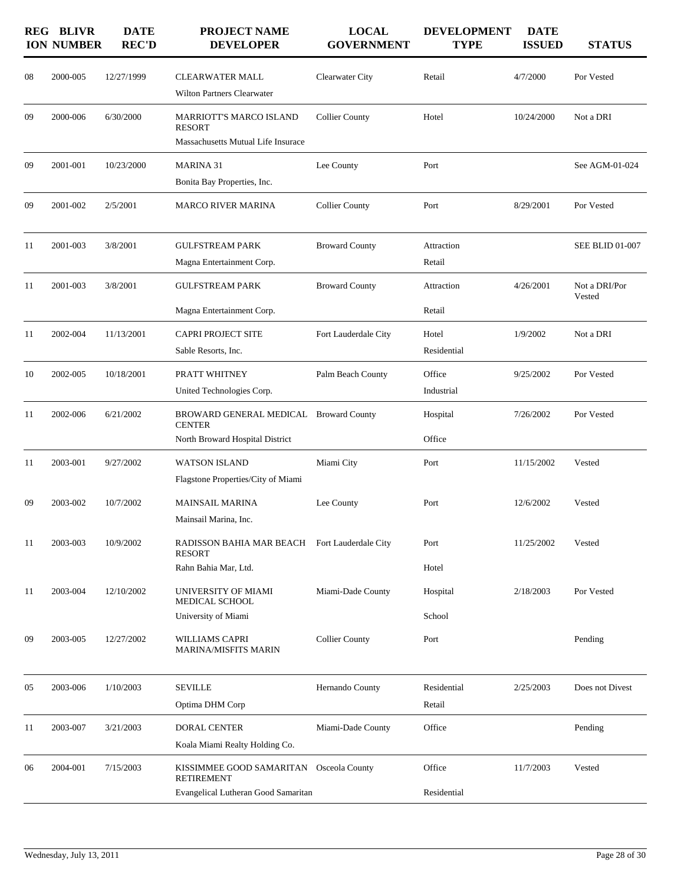|    | <b>REG BLIVR</b><br><b>ION NUMBER</b> | <b>DATE</b><br><b>REC'D</b> | <b>PROJECT NAME</b><br><b>DEVELOPER</b>                                                             | <b>LOCAL</b><br><b>GOVERNMENT</b> | <b>DEVELOPMENT</b><br><b>TYPE</b> | <b>DATE</b><br><b>ISSUED</b> | <b>STATUS</b>           |
|----|---------------------------------------|-----------------------------|-----------------------------------------------------------------------------------------------------|-----------------------------------|-----------------------------------|------------------------------|-------------------------|
| 08 | 2000-005                              | 12/27/1999                  | <b>CLEARWATER MALL</b><br>Wilton Partners Clearwater                                                | Clearwater City                   | Retail                            | 4/7/2000                     | Por Vested              |
| 09 | 2000-006                              | 6/30/2000                   | <b>MARRIOTT'S MARCO ISLAND</b><br><b>RESORT</b><br>Massachusetts Mutual Life Insurace               | <b>Collier County</b>             | Hotel                             | 10/24/2000                   | Not a DRI               |
| 09 | 2001-001                              | 10/23/2000                  | <b>MARINA 31</b><br>Bonita Bay Properties, Inc.                                                     | Lee County                        | Port                              |                              | See AGM-01-024          |
| 09 | 2001-002                              | 2/5/2001                    | <b>MARCO RIVER MARINA</b>                                                                           | <b>Collier County</b>             | Port                              | 8/29/2001                    | Por Vested              |
| 11 | 2001-003                              | 3/8/2001                    | <b>GULFSTREAM PARK</b><br>Magna Entertainment Corp.                                                 | <b>Broward County</b>             | Attraction<br>Retail              |                              | <b>SEE BLID 01-007</b>  |
| 11 | 2001-003                              | 3/8/2001                    | <b>GULFSTREAM PARK</b>                                                                              | <b>Broward County</b>             | Attraction<br>Retail              | 4/26/2001                    | Not a DRI/Por<br>Vested |
| 11 | 2002-004                              | 11/13/2001                  | Magna Entertainment Corp.<br><b>CAPRI PROJECT SITE</b><br>Sable Resorts, Inc.                       | Fort Lauderdale City              | Hotel<br>Residential              | 1/9/2002                     | Not a DRI               |
| 10 | 2002-005                              | 10/18/2001                  | PRATT WHITNEY<br>United Technologies Corp.                                                          | Palm Beach County                 | Office<br>Industrial              | 9/25/2002                    | Por Vested              |
| 11 | 2002-006                              | 6/21/2002                   | BROWARD GENERAL MEDICAL Broward County<br><b>CENTER</b><br>North Broward Hospital District          |                                   | Hospital<br>Office                | 7/26/2002                    | Por Vested              |
| 11 | 2003-001                              | 9/27/2002                   | <b>WATSON ISLAND</b><br>Flagstone Properties/City of Miami                                          | Miami City                        | Port                              | 11/15/2002                   | Vested                  |
| 09 | 2003-002                              | 10/7/2002                   | <b>MAINSAIL MARINA</b><br>Mainsail Marina, Inc.                                                     | Lee County                        | Port                              | 12/6/2002                    | Vested                  |
| 11 | 2003-003                              | 10/9/2002                   | RADISSON BAHIA MAR BEACH Fort Lauderdale City<br><b>RESORT</b><br>Rahn Bahia Mar, Ltd.              |                                   | Port<br>Hotel                     | 11/25/2002                   | Vested                  |
| 11 | 2003-004                              | 12/10/2002                  | UNIVERSITY OF MIAMI<br>MEDICAL SCHOOL<br>University of Miami                                        | Miami-Dade County                 | Hospital<br>School                | 2/18/2003                    | Por Vested              |
| 09 | 2003-005                              | 12/27/2002                  | WILLIAMS CAPRI<br><b>MARINA/MISFITS MARIN</b>                                                       | <b>Collier County</b>             | Port                              |                              | Pending                 |
| 05 | 2003-006                              | 1/10/2003                   | <b>SEVILLE</b><br>Optima DHM Corp                                                                   | Hernando County                   | Residential<br>Retail             | 2/25/2003                    | Does not Divest         |
| 11 | 2003-007                              | 3/21/2003                   | DORAL CENTER<br>Koala Miami Realty Holding Co.                                                      | Miami-Dade County                 | Office                            |                              | Pending                 |
| 06 | 2004-001                              | 7/15/2003                   | KISSIMMEE GOOD SAMARITAN Osceola County<br><b>RETIREMENT</b><br>Evangelical Lutheran Good Samaritan |                                   | Office<br>Residential             | 11/7/2003                    | Vested                  |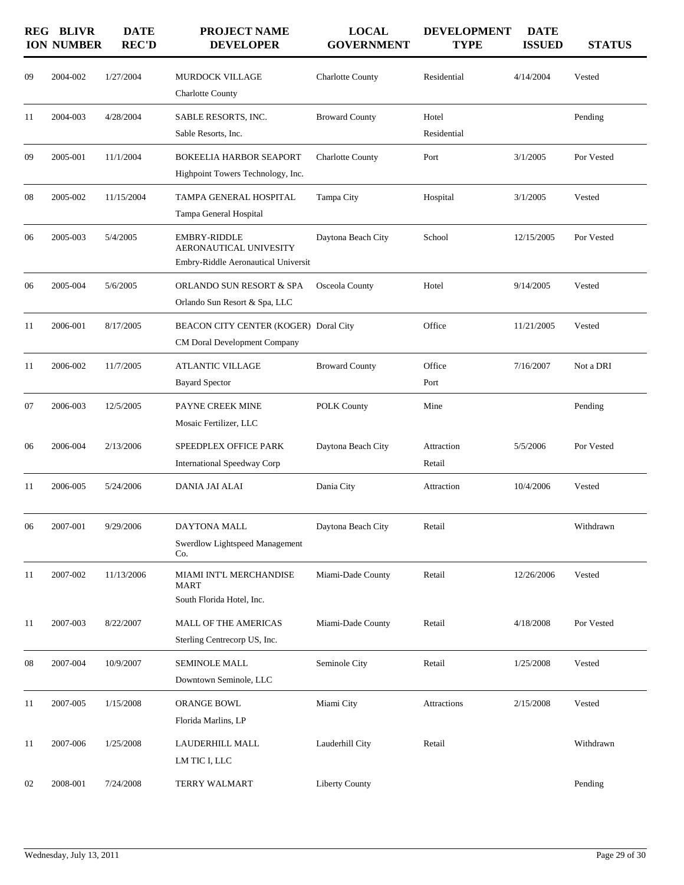|    | <b>REG BLIVR</b><br><b>ION NUMBER</b> | <b>DATE</b><br><b>REC'D</b> | <b>PROJECT NAME</b><br><b>DEVELOPER</b>                                       | <b>LOCAL</b><br><b>GOVERNMENT</b> | <b>DEVELOPMENT</b><br><b>TYPE</b> | <b>DATE</b><br><b>ISSUED</b> | <b>STATUS</b> |
|----|---------------------------------------|-----------------------------|-------------------------------------------------------------------------------|-----------------------------------|-----------------------------------|------------------------------|---------------|
| 09 | 2004-002                              | 1/27/2004                   | MURDOCK VILLAGE<br><b>Charlotte County</b>                                    | <b>Charlotte County</b>           | Residential                       | 4/14/2004                    | Vested        |
| 11 | 2004-003                              | 4/28/2004                   | SABLE RESORTS, INC.<br>Sable Resorts, Inc.                                    | <b>Broward County</b>             | Hotel<br>Residential              |                              | Pending       |
| 09 | 2005-001                              | 11/1/2004                   | BOKEELIA HARBOR SEAPORT<br>Highpoint Towers Technology, Inc.                  | <b>Charlotte County</b>           | Port                              | 3/1/2005                     | Por Vested    |
| 08 | 2005-002                              | 11/15/2004                  | TAMPA GENERAL HOSPITAL<br>Tampa General Hospital                              | Tampa City                        | Hospital                          | 3/1/2005                     | Vested        |
| 06 | 2005-003                              | 5/4/2005                    | EMBRY-RIDDLE<br>AERONAUTICAL UNIVESITY<br>Embry-Riddle Aeronautical Universit | Daytona Beach City                | School                            | 12/15/2005                   | Por Vested    |
| 06 | 2005-004                              | 5/6/2005                    | ORLANDO SUN RESORT & SPA<br>Orlando Sun Resort & Spa, LLC                     | Osceola County                    | Hotel                             | 9/14/2005                    | Vested        |
| 11 | 2006-001                              | 8/17/2005                   | BEACON CITY CENTER (KOGER) Doral City<br><b>CM Doral Development Company</b>  |                                   | Office                            | 11/21/2005                   | Vested        |
| 11 | 2006-002                              | 11/7/2005                   | ATLANTIC VILLAGE<br><b>Bayard Spector</b>                                     | <b>Broward County</b>             | Office<br>Port                    | 7/16/2007                    | Not a DRI     |
| 07 | 2006-003                              | 12/5/2005                   | PAYNE CREEK MINE<br>Mosaic Fertilizer, LLC                                    | <b>POLK County</b>                | Mine                              |                              | Pending       |
| 06 | 2006-004                              | 2/13/2006                   | SPEEDPLEX OFFICE PARK<br><b>International Speedway Corp</b>                   | Daytona Beach City                | Attraction<br>Retail              | 5/5/2006                     | Por Vested    |
| 11 | 2006-005                              | 5/24/2006                   | <b>DANIA JAI ALAI</b>                                                         | Dania City                        | Attraction                        | 10/4/2006                    | Vested        |
| 06 | 2007-001                              | 9/29/2006                   | DAYTONA MALL<br>Swerdlow Lightspeed Management<br>Co.                         | Daytona Beach City                | Retail                            |                              | Withdrawn     |
| 11 | 2007-002                              | 11/13/2006                  | MIAMI INT'L MERCHANDISE<br><b>MART</b><br>South Florida Hotel, Inc.           | Miami-Dade County                 | Retail                            | 12/26/2006                   | Vested        |
| 11 | 2007-003                              | 8/22/2007                   | MALL OF THE AMERICAS<br>Sterling Centrecorp US, Inc.                          | Miami-Dade County                 | Retail                            | 4/18/2008                    | Por Vested    |
| 08 | 2007-004                              | 10/9/2007                   | <b>SEMINOLE MALL</b><br>Downtown Seminole, LLC                                | Seminole City                     | Retail                            | 1/25/2008                    | Vested        |
| 11 | 2007-005                              | 1/15/2008                   | ORANGE BOWL<br>Florida Marlins, LP                                            | Miami City                        | Attractions                       | 2/15/2008                    | Vested        |
| 11 | 2007-006                              | 1/25/2008                   | LAUDERHILL MALL<br>LM TIC I, LLC                                              | Lauderhill City                   | Retail                            |                              | Withdrawn     |
| 02 | 2008-001                              | 7/24/2008                   | TERRY WALMART                                                                 | <b>Liberty County</b>             |                                   |                              | Pending       |